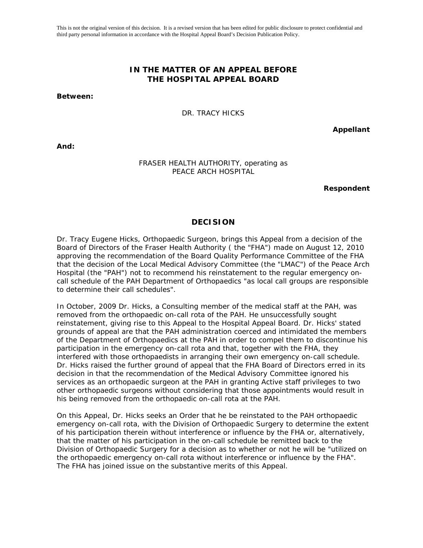This is not the original version of this decision. It is a revised version that has been edited for public disclosure to protect confidential and third party personal information in accordance with the Hospital Appeal Board's Decision Publication Policy.

# **IN THE MATTER OF AN APPEAL BEFORE THE HOSPITAL APPEAL BOARD**

**Between:** 

DR. TRACY HICKS

**Appellant** 

**And:** 

#### FRASER HEALTH AUTHORITY, operating as PEACE ARCH HOSPITAL

**Respondent** 

## **DECISION**

Dr. Tracy Eugene Hicks, Orthopaedic Surgeon, brings this Appeal from a decision of the Board of Directors of the Fraser Health Authority ( the "FHA") made on August 12, 2010 approving the recommendation of the Board Quality Performance Committee of the FHA that the decision of the Local Medical Advisory Committee (the "LMAC") of the Peace Arch Hospital (the "PAH") not to recommend his reinstatement to the regular emergency oncall schedule of the PAH Department of Orthopaedics "as local call groups are responsible to determine their call schedules".

In October, 2009 Dr. Hicks, a Consulting member of the medical staff at the PAH, was removed from the orthopaedic on-call rota of the PAH. He unsuccessfully sought reinstatement, giving rise to this Appeal to the Hospital Appeal Board. Dr. Hicks' stated grounds of appeal are that the PAH administration coerced and intimidated the members of the Department of Orthopaedics at the PAH in order to compel them to discontinue his participation in the emergency on-call rota and that, together with the FHA, they interfered with those orthopaedists in arranging their own emergency on-call schedule. Dr. Hicks raised the further ground of appeal that the FHA Board of Directors erred in its decision in that the recommendation of the Medical Advisory Committee ignored his services as an orthopaedic surgeon at the PAH in granting Active staff privileges to two other orthopaedic surgeons without considering that those appointments would result in his being removed from the orthopaedic on-call rota at the PAH.

On this Appeal, Dr. Hicks seeks an Order that he be reinstated to the PAH orthopaedic emergency on-call rota, with the Division of Orthopaedic Surgery to determine the extent of his participation therein without interference or influence by the FHA or, alternatively, that the matter of his participation in the on-call schedule be remitted back to the Division of Orthopaedic Surgery for a decision as to whether or not he will be "utilized on the orthopaedic emergency on-call rota without interference or influence by the FHA". The FHA has joined issue on the substantive merits of this Appeal.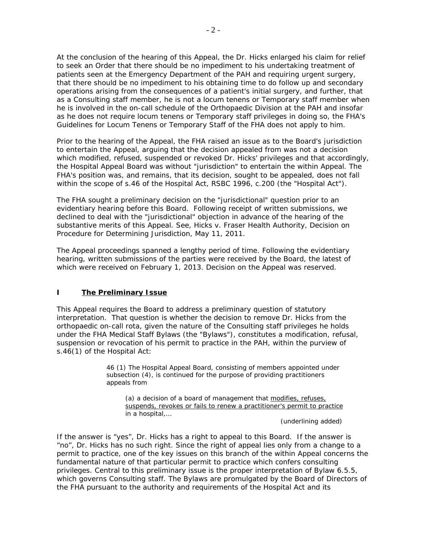At the conclusion of the hearing of this Appeal, the Dr. Hicks enlarged his claim for relief to seek an Order that there should be no impediment to his undertaking treatment of patients seen at the Emergency Department of the PAH and requiring urgent surgery, that there should be no impediment to his obtaining time to do follow up and secondary operations arising from the consequences of a patient's initial surgery, and further, that as a Consulting staff member, he is not a *locum tenens* or Temporary staff member when he is involved in the on-call schedule of the Orthopaedic Division at the PAH and insofar as he does not require *locum tenens* or Temporary staff privileges in doing so, the FHA's Guidelines for *Locum Tenens* or Temporary Staff of the FHA does not apply to him.

Prior to the hearing of the Appeal, the FHA raised an issue as to the Board's jurisdiction to entertain the Appeal, arguing that the decision appealed from was not a decision which modified, refused, suspended or revoked Dr. Hicks' privileges and that accordingly, the Hospital Appeal Board was without "jurisdiction" to entertain the within Appeal. The FHA's position was, and remains, that its decision, sought to be appealed, does not fall within the scope of s.46 of the *Hospital Act*, RSBC 1996, c.200 (the "*Hospital Act*").

The FHA sought a preliminary decision on the "jurisdictional" question prior to an evidentiary hearing before this Board. Following receipt of written submissions, we declined to deal with the "jurisdictional" objection in advance of the hearing of the substantive merits of this Appeal. See, *Hicks v. Fraser Health Authority,* Decision on Procedure for Determining Jurisdiction, May 11, 2011.

The Appeal proceedings spanned a lengthy period of time. Following the evidentiary hearing, written submissions of the parties were received by the Board, the latest of which were received on February 1, 2013. Decision on the Appeal was reserved.

## **I The Preliminary Issue**

This Appeal requires the Board to address a preliminary question of statutory interpretation. That question is whether the decision to remove Dr. Hicks from the orthopaedic on-call rota, given the nature of the Consulting staff privileges he holds under the FHA Medical Staff *Bylaw*s (the "*Bylaw*s"), constitutes a modification, refusal, suspension or revocation of his permit to practice in the PAH, within the purview of s.46(1) of the *Hospital Act*:

> 46 (1) The Hospital Appeal Board, consisting of members appointed under subsection (4), is continued for the purpose of providing practitioners appeals from

(a) a decision of a board of management that modifies, refuses, suspends, revokes or fails to renew a practitioner's permit to practice in a hospital,…

(underlining added)

If the answer is "yes", Dr. Hicks has a right to appeal to this Board. If the answer is "no", Dr. Hicks has no such right. Since the right of appeal lies only from a change to a permit to practice, one of the key issues on this branch of the within Appeal concerns the fundamental nature of that particular permit to practice which confers consulting privileges. Central to this preliminary issue is the proper interpretation of *Bylaw* 6.5.5, which governs Consulting staff. The *Bylaws* are promulgated by the Board of Directors of the FHA pursuant to the authority and requirements of the *Hospital Act* and its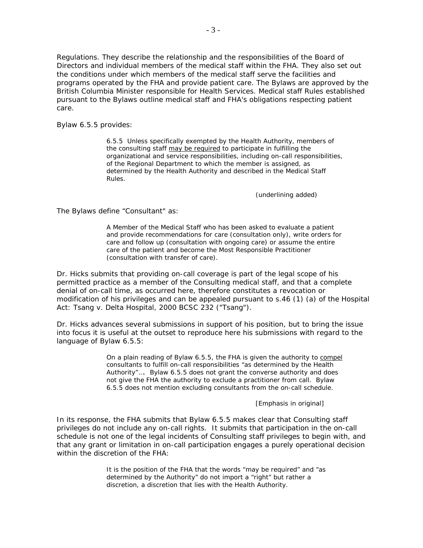*Regulations*. They describe the relationship and the responsibilities of the Board of Directors and individual members of the medical staff within the FHA. They also set out the conditions under which members of the medical staff serve the facilities and programs operated by the FHA and provide patient care. The *Bylaws* are approved by the British Columbia Minister responsible for Health Services. Medical staff *Rules* established pursuant to the *Bylaws* outline medical staff and FHA's obligations respecting patient care.

*Bylaw* 6.5.5 provides:

6.5.5 Unless specifically exempted by the Health Authority, members of the consulting staff may be required to participate in fulfilling the organizational and service responsibilities, including on-call responsibilities, of the Regional Department to which the member is assigned, as determined by the Health Authority and described in the Medical Staff *Rules*.

(underlining added)

The *Bylaws* define "Consultant" as:

A Member of the Medical Staff who has been asked to evaluate a patient and provide recommendations for care (consultation only), write orders for care and follow up (consultation with ongoing care) or assume the entire care of the patient and become the Most Responsible Practitioner (consultation with transfer of care).

Dr. Hicks submits that providing on-call coverage is part of the legal scope of his permitted practice as a member of the Consulting medical staff, and that a complete denial of on-call time, as occurred here, therefore constitutes a revocation or modification of his privileges and can be appealed pursuant to s.46 (1) (a) of the *Hospital Act*: *Tsang v. Delta Hospital*, 2000 BCSC 232 ("*Tsang").*

Dr. Hicks advances several submissions in support of his position, but to bring the issue into focus it is useful at the outset to reproduce here his submissions with regard to the language of *Bylaw* 6.5.5:

> On a plain reading of *Bylaw* 6.5.5, the FHA is given the authority to compel consultants to fulfill on-call responsibilities "as determined by the Health Authority"…. *Bylaw* 6.5.5 does not grant the converse authority and does not give the FHA the authority to exclude a practitioner from call. *Bylaw* 6.5.5 does not mention excluding consultants from the on-call schedule.

> > [Emphasis in original]

In its response, the FHA submits that *Bylaw* 6.5.5 makes clear that Consulting staff privileges do not include any on-call rights. It submits that participation in the on-call schedule is not one of the legal incidents of Consulting staff privileges to begin with, and that any grant or limitation in on-call participation engages a purely operational decision within the discretion of the FHA:

> It is the position of the FHA that the words "may be required" and "as determined by the Authority" do not import a "right" but rather a discretion, a discretion that lies with the Health Authority.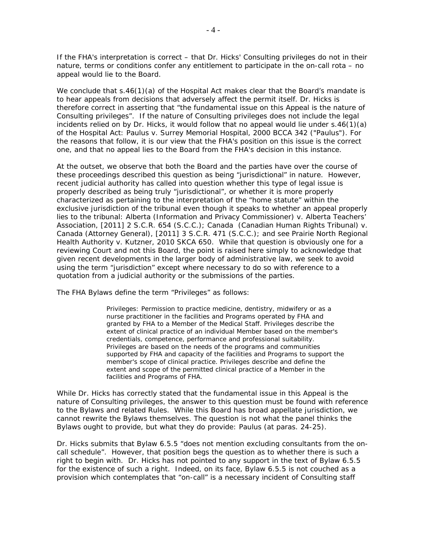If the FHA's interpretation is correct – that Dr. Hicks' Consulting privileges do not in their nature, terms or conditions confer any entitlement to participate in the on-call rota – no appeal would lie to the Board.

We conclude that s.46(1)(a) of the *Hospital Act* makes clear that the Board's mandate is to hear appeals from decisions that adversely affect the *permit* itself. Dr. Hicks is therefore correct in asserting that "the fundamental issue on this Appeal is the nature of Consulting privileges". If the nature of Consulting privileges does not include the legal incidents relied on by Dr. Hicks, it would follow that no appeal would lie under s.46(1)(a) of the *Hospital Act*: *Paulus v. Surrey Memorial Hospital*, 2000 BCCA 342 ("*Paulus*"). For the reasons that follow, it is our view that the FHA's position on this issue is the correct one, and that no appeal lies to the Board from the FHA's decision in this instance.

At the outset, we observe that both the Board and the parties have over the course of these proceedings described this question as being "jurisdictional" in nature. However, recent judicial authority has called into question whether this type of legal issue is properly described as being truly "jurisdictional", or whether it is more properly characterized as pertaining to the interpretation of the "home statute" within the exclusive jurisdiction of the tribunal even though it speaks to whether an appeal properly lies to the tribunal: *Alberta (Information and Privacy Commissioner) v. Alberta Teachers' Association*, [2011] 2 S.C.R. 654 (S.C.C.); *Canada (Canadian Human Rights Tribunal) v. Canada (Attorney General)*, [2011] 3 S.C.R. 471 (S.C.C.); and see *Prairie North Regional Health Authority v. Kutzner*, 2010 SKCA 650. While that question is obviously one for a reviewing Court and not this Board, the point is raised here simply to acknowledge that given recent developments in the larger body of administrative law, we seek to avoid using the term "jurisdiction" except where necessary to do so with reference to a quotation from a judicial authority or the submissions of the parties.

The FHA *Bylaws* define the term "Privileges" as follows:

Privileges: Permission to practice medicine, dentistry, midwifery or as a nurse practitioner in the facilities and Programs operated by FHA and granted by FHA to a Member of the Medical Staff. Privileges describe the extent of clinical practice of an individual Member based on the member's credentials, competence, performance and professional suitability. Privileges are based on the needs of the programs and communities supported by FHA and capacity of the facilities and Programs to support the member's scope of clinical practice. Privileges describe and define the extent and scope of the permitted clinical practice of a Member in the facilities and Programs of FHA.

While Dr. Hicks has correctly stated that the fundamental issue in this Appeal is the nature of Consulting privileges, the answer to this question must be found with reference to the *Bylaws* and related *Rules*. While this Board has broad appellate jurisdiction, we cannot rewrite the *Bylaws* themselves. The question is not what the panel thinks the *Bylaws* ought to provide, but what they do provide: *Paulus* (at paras. 24-25).

Dr. Hicks submits that *Bylaw* 6.5.5 "does not mention excluding consultants from the oncall schedule". However, that position begs the question as to whether there is such a right to begin with. Dr. Hicks has not pointed to any support in the text of *Bylaw* 6.5.5 for the existence of such a right. Indeed, on its face, *Bylaw* 6.5.5 is not couched as a provision which contemplates that "on-call" is a necessary incident of Consulting staff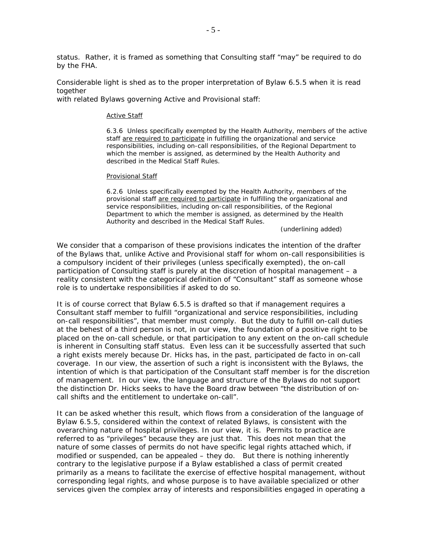status. Rather, it is framed as something that Consulting staff "may" be required to do by the FHA.

Considerable light is shed as to the proper interpretation of *Bylaw* 6.5.5 when it is read together

with related *Bylaw*s governing Active and Provisional staff:

#### Active Staff

6.3.6 Unless specifically exempted by the Health Authority, members of the active staff are required to participate in fulfilling the organizational and service responsibilities, including on-call responsibilities, of the Regional Department to which the member is assigned, as determined by the Health Authority and described in the Medical Staff *Rules*.

#### Provisional Staff

6.2.6 Unless specifically exempted by the Health Authority, members of the provisional staff are required to participate in fulfilling the organizational and service responsibilities, including on-call responsibilities, of the Regional Department to which the member is assigned, as determined by the Health Authority and described in the Medical Staff *Rules*.

(underlining added)

We consider that a comparison of these provisions indicates the intention of the drafter of the *Bylaw*s that, unlike Active and Provisional staff for whom on-call responsibilities is a compulsory incident of their privileges (unless specifically exempted), the on-call participation of Consulting staff is purely at the discretion of hospital management – a reality consistent with the categorical definition of "Consultant" staff as someone whose role is to undertake responsibilities if *asked* to do so.

It is of course correct that *Bylaw* 6.5.5 is drafted so that if management requires a Consultant staff member to fulfill "organizational and service responsibilities, including on-call responsibilities", that member must comply. But the duty to fulfill on-call duties at the behest of a third person is not, in our view, the foundation of a positive right to be placed on the on-call schedule, or that participation to any extent on the on-call schedule is inherent in Consulting staff status. Even less can it be successfully asserted that such a right exists merely because Dr. Hicks has, in the past, participated *de facto* in on-call coverage. In our view, the assertion of such a right is inconsistent with the *Bylaws*, the intention of which is that participation of the Consultant staff member is for the discretion of management. In our view, the language and structure of the *Bylaws* do not support the distinction Dr. Hicks seeks to have the Board draw between "the distribution of oncall shifts and the entitlement to undertake on-call".

It can be asked whether this result, which flows from a consideration of the language of *Bylaw* 6.5.5, considered within the context of related *Bylaw*s, is consistent with the overarching nature of hospital privileges. In our view, it is. Permits to practice are referred to as "privileges" because they are just that. This does not mean that the nature of some classes of permits do not have specific legal rights attached which, if modified or suspended, can be appealed – they do. But there is nothing inherently contrary to the legislative purpose if a *Bylaw* established a class of permit created primarily as a means to facilitate the exercise of effective hospital management, without corresponding legal rights, and whose purpose is to have available specialized or other services given the complex array of interests and responsibilities engaged in operating a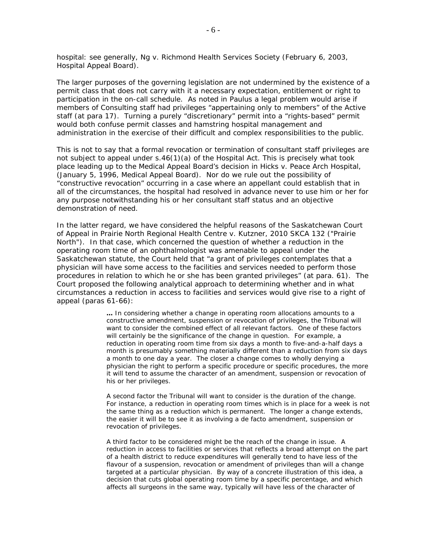hospital: see generally, *Ng v. Richmond Health Services Society* (February 6, 2003, Hospital Appeal Board).

The larger purposes of the governing legislation are not undermined by the existence of a permit class that does not carry with it a necessary expectation, entitlement or right to participation in the on-call schedule. As noted in *Paulus* a legal problem would arise if members of Consulting staff had privileges "appertaining only to members" of the Active staff (at para 17). Turning a purely "discretionary" permit into a "rights-based" permit would both confuse permit classes and hamstring hospital management and administration in the exercise of their difficult and complex responsibilities to the public.

This is not to say that a formal revocation or termination of consultant staff privileges are not subject to appeal under s.46(1)(a) of the *Hospital Act*. This is precisely what took place leading up to the Medical Appeal Board's decision in *Hicks v. Peace Arch Hospital*, (January 5, 1996, Medical Appeal Board). Nor do we rule out the possibility of "constructive revocation" occurring in a case where an appellant could establish that in all of the circumstances, the hospital had resolved in advance never to use him or her for any purpose notwithstanding his or her consultant staff status and an objective demonstration of need.

In the latter regard, we have considered the helpful reasons of the Saskatchewan Court of Appeal in *Prairie North Regional Health Centre v. Kutzner*, 2010 SKCA 132 ("*Prairie North*"). In that case, which concerned the question of whether a reduction in the operating room time of an ophthalmologist was amenable to appeal under the Saskatchewan statute, the Court held that "a grant of privileges contemplates that a physician will have some access to the facilities and services needed to perform those procedures in relation to which he or she has been granted privileges" (at para. 61). The Court proposed the following analytical approach to determining whether and in what circumstances a reduction in access to facilities and services would give rise to a right of appeal (paras 61-66):

> **…** In considering whether a change in operating room allocations amounts to a constructive amendment, suspension or revocation of privileges, the Tribunal will want to consider the combined effect of all relevant factors. One of these factors will certainly be the significance of the change in question. For example, a reduction in operating room time from six days a month to five-and-a-half days a month is presumably something materially different than a reduction from six days a month to one day a year. The closer a change comes to wholly denying a physician the right to perform a specific procedure or specific procedures, the more it will tend to assume the character of an amendment, suspension or revocation of his or her privileges.

> A second factor the Tribunal will want to consider is the duration of the change. For instance, a reduction in operating room times which is in place for a week is not the same thing as a reduction which is permanent. The longer a change extends, the easier it will be to see it as involving a *de facto* amendment, suspension or revocation of privileges.

> A third factor to be considered might be the reach of the change in issue. A reduction in access to facilities or services that reflects a broad attempt on the part of a health district to reduce expenditures will generally tend to have less of the flavour of a suspension, revocation or amendment of privileges than will a change targeted at a particular physician. By way of a concrete illustration of this idea, a decision that cuts global operating room time by a specific percentage, and which affects all surgeons in the same way, typically will have less of the character of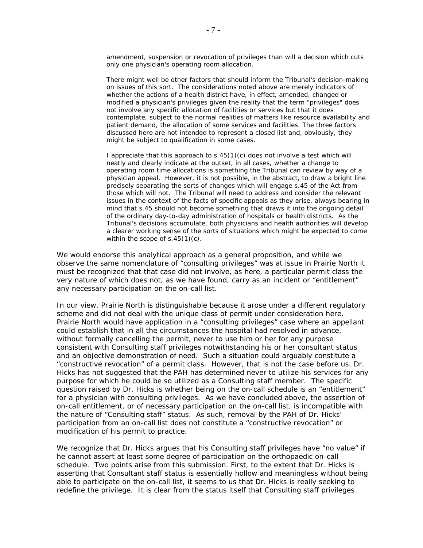amendment, suspension or revocation of privileges than will a decision which cuts only one physician's operating room allocation.

There might well be other factors that should inform the Tribunal's decision-making on issues of this sort. The considerations noted above are merely indicators of whether the actions of a health district have, in effect, amended, changed or modified a physician's privileges given the reality that the term "privileges" does not involve any specific allocation of facilities or services but that it does contemplate, subject to the normal realities of matters like resource availability and patient demand, the allocation of some services and facilities. The three factors discussed here are not intended to represent a closed list and, obviously, they might be subject to qualification in some cases.

I appreciate that this approach to s.45(1)(c) does not involve a test which will neatly and clearly indicate at the outset, in all cases, whether a change to operating room time allocations is something the Tribunal can review by way of a physician appeal. However, it is not possible, in the abstract, to draw a bright line precisely separating the sorts of changes which will engage s.45 of the *Act* from those which will not. The Tribunal will need to address and consider the relevant issues in the context of the facts of specific appeals as they arise, always bearing in mind that s.45 should not become something that draws it into the ongoing detail of the ordinary day-to-day administration of hospitals or health districts. As the Tribunal's decisions accumulate, both physicians and health authorities will develop a clearer working sense of the sorts of situations which might be expected to come within the scope of s.45(1)(c).

We would endorse this analytical approach as a general proposition, and while we observe the same nomenclature of "consulting privileges" was at issue in *Prairie North* it must be recognized that that case did not involve, as here, a particular permit class the very nature of which does not, as we have found, carry as an incident or "entitlement" any necessary participation on the on-call list.

In our view, *Prairie North* is distinguishable because it arose under a different regulatory scheme and did not deal with the unique class of permit under consideration here. *Prairie North* would have application in a "consulting privileges" case where an appellant could establish that in all the circumstances the hospital had resolved in advance, without formally cancelling the permit, never to use him or her for any purpose consistent with Consulting staff privileges notwithstanding his or her consultant status and an objective demonstration of need. Such a situation could arguably constitute a "constructive revocation" of a permit class. However, that is not the case before us. Dr. Hicks has not suggested that the PAH has determined never to utilize his services for any purpose for which he could be so utilized as a Consulting staff member. The specific question raised by Dr. Hicks is whether being on the on-call schedule is an "entitlement" for a physician with consulting privileges. As we have concluded above, the assertion of on-call entitlement, or of necessary participation on the on-call list, is incompatible with the nature of "Consulting staff" status. As such, removal by the PAH of Dr. Hicks' participation from an on-call list does not constitute a "constructive revocation" or modification of his permit to practice.

We recognize that Dr. Hicks argues that his Consulting staff privileges have "no value" if he cannot assert at least some degree of participation on the orthopaedic on-call schedule. Two points arise from this submission. First, to the extent that Dr. Hicks is asserting that Consultant staff status is essentially hollow and meaningless without being able to participate on the on-call list, it seems to us that Dr. Hicks is really seeking to redefine the privilege. It is clear from the status itself that Consulting staff privileges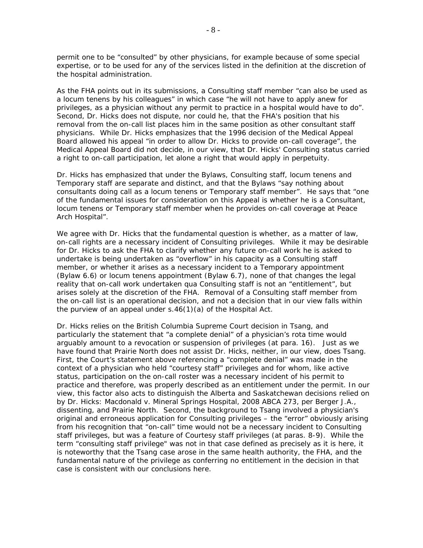permit one to be "consulted" by other physicians, for example because of some special expertise, or to be used for any of the services listed in the definition at the discretion of the hospital administration.

As the FHA points out in its submissions, a Consulting staff member "can also be used as a *locum tenens* by his colleagues" in which case "he will not have to apply anew for privileges, as a physician without any permit to practice in a hospital would have to do". Second, Dr. Hicks does not dispute, nor could he, that the FHA's position that his removal from the on-call list places him in the same position as other consultant staff physicians. While Dr. Hicks emphasizes that the 1996 decision of the Medical Appeal Board allowed his appeal "in order to allow Dr. Hicks to provide on-call coverage", the Medical Appeal Board did not decide, in our view, that Dr. Hicks' Consulting status carried a right to on-call participation, let alone a right that would apply in perpetuity.

Dr. Hicks has emphasized that under the *Bylaws*, Consulting staff, *locum tenens* and Temporary staff are separate and distinct, and that the *Bylaw*s "say nothing about consultants doing call as a *locum tenens* or Temporary staff member". He says that "one of the fundamental issues for consideration on this Appeal is whether he is a Consultant, *locum tenens* or Temporary staff member when he provides on-call coverage at Peace Arch Hospital".

We agree with Dr. Hicks that the fundamental question is whether, as a matter of law, on-call rights are a necessary incident of Consulting privileges. While it may be desirable for Dr. Hicks to ask the FHA to clarify whether any future on-call work he is asked to undertake is being undertaken as "overflow" in his capacity as a Consulting staff member, or whether it arises as a necessary incident to a Temporary appointment (*Bylaw* 6.6) or *locum tenens* appointment (*Bylaw* 6.7), none of that changes the legal reality that on-call work undertaken *qua* Consulting staff is not an "entitlement", but arises solely at the discretion of the FHA. Removal of a Consulting staff member from the on-call list is an operational decision, and not a decision that in our view falls within the purview of an appeal under s.46(1)(a) of the *Hospital Act*.

Dr. Hicks relies on the British Columbia Supreme Court decision in *Tsang*, and particularly the statement that "a complete denial" of a physician's rota time would arguably amount to a revocation or suspension of privileges (at para. 16). Just as we have found that *Prairie North* does not assist Dr. Hicks, neither, in our view, does *Tsang*. First, the Court's statement above referencing a "complete denial" was made in the context of a physician who held "courtesy staff" privileges and for whom, like active status, participation on the on-call roster was a necessary incident of his permit to practice and therefore, was properly described as an entitlement under the permit. In our view, this factor also acts to distinguish the Alberta and Saskatchewan decisions relied on by Dr. Hicks: *Macdonald v. Mineral Springs Hospital,* 2008 ABCA 273, per Berger J.A., dissenting, and *Prairie North*. Second, the background to *Tsang* involved a physician's original and erroneous application for Consulting privileges – the "error" obviously arising from his recognition that "on-call" time would not be a necessary incident to Consulting staff privileges, but was a feature of Courtesy staff privileges (at paras. 8-9). While the term "consulting staff privilege" was not in that case defined as precisely as it is here, it is noteworthy that the *Tsang* case arose in the same health authority, the FHA, and the fundamental nature of the privilege as conferring no entitlement in the decision in that case is consistent with our conclusions here.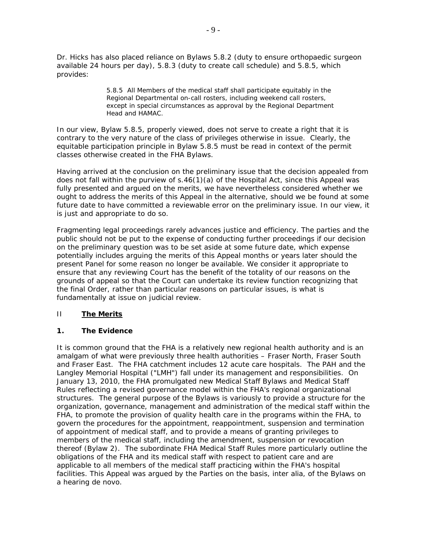Dr. Hicks has also placed reliance on *Bylaws* 5.8.2 (duty to ensure orthopaedic surgeon available 24 hours per day), 5.8.3 (duty to create call schedule) and 5.8.5, which provides:

> 5.8.5 All Members of the medical staff shall participate equitably in the Regional Departmental on-call rosters, including weekend call rosters, except in special circumstances as approval by the Regional Department Head and HAMAC.

In our view, *Bylaw* 5.8.5, properly viewed, does not serve to create a right that it is contrary to the very nature of the class of privileges otherwise in issue. Clearly, the equitable participation principle in *Bylaw* 5.8.5 must be read in context of the permit classes otherwise created in the FHA *Bylaws*.

Having arrived at the conclusion on the preliminary issue that the decision appealed from does not fall within the purview of s.46(1)(a) of the *Hospital Act*, since this Appeal was fully presented and argued on the merits, we have nevertheless considered whether we ought to address the merits of this Appeal in the alternative, should we be found at some future date to have committed a reviewable error on the preliminary issue. In our view, it is just and appropriate to do so.

Fragmenting legal proceedings rarely advances justice and efficiency. The parties and the public should not be put to the expense of conducting further proceedings if our decision on the preliminary question was to be set aside at some future date, which expense potentially includes arguing the merits of this Appeal months or years later should the present Panel for some reason no longer be available. We consider it appropriate to ensure that any reviewing Court has the benefit of the totality of our reasons on the grounds of appeal so that the Court can undertake its review function recognizing that the final Order, rather than particular reasons on particular issues, is what is fundamentally at issue on judicial review.

## II **The Merits**

## **1. The Evidence**

It is common ground that the FHA is a relatively new regional health authority and is an amalgam of what were previously three health authorities – Fraser North, Fraser South and Fraser East. The FHA catchment includes 12 acute care hospitals. The PAH and the Langley Memorial Hospital ("LMH") fall under its management and responsibilities. On January 13, 2010, the FHA promulgated new Medical Staff *Bylaw*s and Medical Staff *Rules* reflecting a revised governance model within the FHA's regional organizational structures. The general purpose of the *Bylaw*s is variously to provide a structure for the organization, governance, management and administration of the medical staff within the FHA, to promote the provision of quality health care in the programs within the FHA, to govern the procedures for the appointment, reappointment, suspension and termination of appointment of medical staff, and to provide a means of granting privileges to members of the medical staff, including the amendment, suspension or revocation thereof (*Bylaw* 2). The subordinate FHA Medical Staff *Rules* more particularly outline the obligations of the FHA and its medical staff with respect to patient care and are applicable to all members of the medical staff practicing within the FHA's hospital facilities. This Appeal was argued by the Parties on the basis, *inter alia*, of the *Bylaws* on a hearing *de novo*.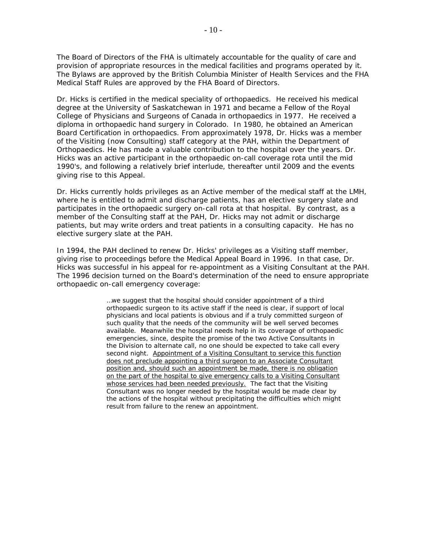The Board of Directors of the FHA is ultimately accountable for the quality of care and provision of appropriate resources in the medical facilities and programs operated by it. The *Bylaw*s are approved by the British Columbia Minister of Health Services and the FHA Medical Staff *Rules* are approved by the FHA Board of Directors.

Dr. Hicks is certified in the medical speciality of orthopaedics. He received his medical degree at the University of Saskatchewan in 1971 and became a Fellow of the Royal College of Physicians and Surgeons of Canada in orthopaedics in 1977. He received a diploma in orthopaedic hand surgery in Colorado. In 1980, he obtained an American Board Certification in orthopaedics. From approximately 1978, Dr. Hicks was a member of the Visiting (now Consulting) staff category at the PAH, within the Department of Orthopaedics. He has made a valuable contribution to the hospital over the years. Dr. Hicks was an active participant in the orthopaedic on-call coverage rota until the mid 1990's, and following a relatively brief interlude, thereafter until 2009 and the events giving rise to this Appeal.

Dr. Hicks currently holds privileges as an Active member of the medical staff at the LMH, where he is entitled to admit and discharge patients, has an elective surgery slate and participates in the orthopaedic surgery on-call rota at that hospital. By contrast, as a member of the Consulting staff at the PAH, Dr. Hicks may not admit or discharge patients, but may write orders and treat patients in a consulting capacity. He has no elective surgery slate at the PAH.

In 1994, the PAH declined to renew Dr. Hicks' privileges as a Visiting staff member, giving rise to proceedings before the Medical Appeal Board in 1996. In that case, Dr. Hicks was successful in his appeal for re-appointment as a Visiting Consultant at the PAH. The 1996 decision turned on the Board's determination of the need to ensure appropriate orthopaedic on-call emergency coverage:

> …we suggest that the hospital should consider appointment of a third orthopaedic surgeon to its active staff if the need is clear, if support of local physicians and local patients is obvious and if a truly committed surgeon of such quality that the needs of the community will be well served becomes available. Meanwhile the hospital needs help in its coverage of orthopaedic emergencies, since, despite the promise of the two Active Consultants in the Division to alternate call, no one should be expected to take call every second night. Appointment of a Visiting Consultant to service this function does not preclude appointing a third surgeon to an Associate Consultant position and, should such an appointment be made, there is no obligation on the part of the hospital to give emergency calls to a Visiting Consultant whose services had been needed previously. The fact that the Visiting Consultant was no longer needed by the hospital would be made clear by the actions of the hospital without precipitating the difficulties which might result from failure to the renew an appointment.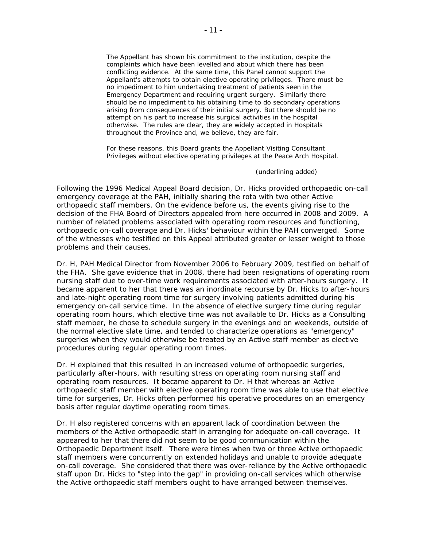The Appellant has shown his commitment to the institution, despite the complaints which have been levelled and about which there has been conflicting evidence. At the same time, this Panel cannot support the Appellant's attempts to obtain elective operating privileges. There must be no impediment to him undertaking treatment of patients seen in the Emergency Department and requiring urgent surgery. Similarly there should be no impediment to his obtaining time to do secondary operations arising from consequences of their initial surgery. But there should be no attempt on his part to increase his surgical activities in the hospital otherwise. The rules are clear, they are widely accepted in Hospitals throughout the Province and, we believe, they are fair.

For these reasons, this Board grants the Appellant Visiting Consultant Privileges without elective operating privileges at the Peace Arch Hospital.

(underlining added)

Following the 1996 Medical Appeal Board decision, Dr. Hicks provided orthopaedic on-call emergency coverage at the PAH, initially sharing the rota with two other Active orthopaedic staff members. On the evidence before us, the events giving rise to the decision of the FHA Board of Directors appealed from here occurred in 2008 and 2009. A number of related problems associated with operating room resources and functioning, orthopaedic on-call coverage and Dr. Hicks' behaviour within the PAH converged. Some of the witnesses who testified on this Appeal attributed greater or lesser weight to those problems and their causes.

Dr. H, PAH Medical Director from November 2006 to February 2009, testified on behalf of the FHA. She gave evidence that in 2008, there had been resignations of operating room nursing staff due to over-time work requirements associated with after-hours surgery. It became apparent to her that there was an inordinate recourse by Dr. Hicks to after-hours and late-night operating room time for surgery involving patients admitted during his emergency on-call service time. In the absence of elective surgery time during regular operating room hours, which elective time was not available to Dr. Hicks as a Consulting staff member, he chose to schedule surgery in the evenings and on weekends, outside of the normal elective slate time, and tended to characterize operations as "emergency" surgeries when they would otherwise be treated by an Active staff member as elective procedures during regular operating room times.

Dr. H explained that this resulted in an increased volume of orthopaedic surgeries, particularly after-hours, with resulting stress on operating room nursing staff and operating room resources. It became apparent to Dr. H that whereas an Active orthopaedic staff member with elective operating room time was able to use that elective time for surgeries, Dr. Hicks often performed his operative procedures on an emergency basis after regular daytime operating room times.

Dr. H also registered concerns with an apparent lack of coordination between the members of the Active orthopaedic staff in arranging for adequate on-call coverage. It appeared to her that there did not seem to be good communication within the Orthopaedic Department itself. There were times when two or three Active orthopaedic staff members were concurrently on extended holidays and unable to provide adequate on-call coverage. She considered that there was over-reliance by the Active orthopaedic staff upon Dr. Hicks to "step into the gap" in providing on-call services which otherwise the Active orthopaedic staff members ought to have arranged between themselves.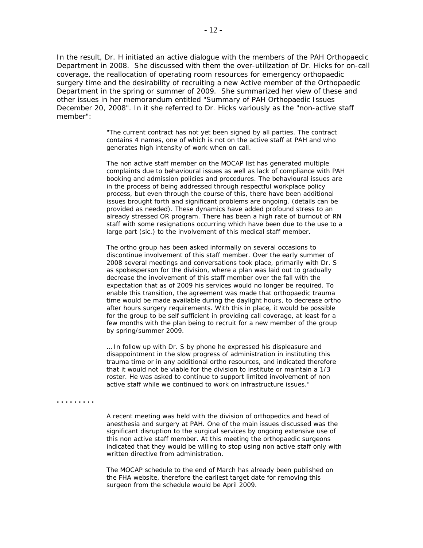In the result, Dr. H initiated an active dialogue with the members of the PAH Orthopaedic Department in 2008. She discussed with them the over-utilization of Dr. Hicks for on-call coverage, the reallocation of operating room resources for emergency orthopaedic surgery time and the desirability of recruiting a new Active member of the Orthopaedic Department in the spring or summer of 2009. She summarized her view of these and other issues in her memorandum entitled "Summary of PAH Orthopaedic Issues December 20, 2008". In it she referred to Dr. Hicks variously as the "non-active staff member":

> "The current contract has not yet been signed by all parties. The contract contains 4 names, one of which is not on the active staff at PAH and who generates high intensity of work when on call.

The non active staff member on the MOCAP list has generated multiple complaints due to behavioural issues as well as lack of compliance with PAH booking and admission policies and procedures. The behavioural issues are in the process of being addressed through respectful workplace policy process, but even through the course of this, there have been additional issues brought forth and significant problems are ongoing. (details can be provided as needed). These dynamics have added profound stress to an already stressed OR program. There has been a high rate of burnout of RN staff with some resignations occurring which have been due to the use to a large part (*sic.*) to the involvement of this medical staff member.

The ortho group has been asked informally on several occasions to discontinue involvement of this staff member. Over the early summer of 2008 several meetings and conversations took place, primarily with Dr. S as spokesperson for the division, where a plan was laid out to gradually decrease the involvement of this staff member over the fall with the expectation that as of 2009 his services would no longer be required. To enable this transition, the agreement was made that orthopaedic trauma time would be made available during the daylight hours, to decrease ortho after hours surgery requirements. With this in place, it would be possible for the group to be self sufficient in providing call coverage, at least for a few months with the plan being to recruit for a new member of the group by spring/summer 2009.

… In follow up with Dr. S by phone he expressed his displeasure and disappointment in the slow progress of administration in instituting this trauma time or in any additional ortho resources, and indicated therefore that it would not be viable for the division to institute or maintain a 1/3 roster. He was asked to continue to support limited involvement of non active staff while we continued to work on infrastructure issues."

**. . . . . . . . .** 

A recent meeting was held with the division of orthopedics and head of anesthesia and surgery at PAH. One of the main issues discussed was the significant disruption to the surgical services by ongoing extensive use of this non active staff member. At this meeting the orthopaedic surgeons indicated that they would be willing to stop using non active staff only with written directive from administration.

The MOCAP schedule to the end of March has already been published on the FHA website, therefore the earliest target date for removing this surgeon from the schedule would be April 2009.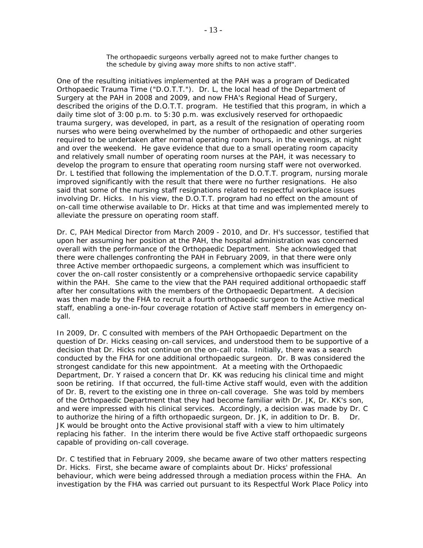The orthopaedic surgeons verbally agreed not to make further changes to the schedule by giving away more shifts to non active staff".

One of the resulting initiatives implemented at the PAH was a program of Dedicated Orthopaedic Trauma Time ("D.O.T.T."). Dr. L, the local head of the Department of Surgery at the PAH in 2008 and 2009, and now FHA's Regional Head of Surgery, described the origins of the D.O.T.T. program. He testified that this program, in which a daily time slot of 3:00 p.m. to 5:30 p.m. was exclusively reserved for orthopaedic trauma surgery, was developed, in part, as a result of the resignation of operating room nurses who were being overwhelmed by the number of orthopaedic and other surgeries required to be undertaken after normal operating room hours, in the evenings, at night and over the weekend. He gave evidence that due to a small operating room capacity and relatively small number of operating room nurses at the PAH, it was necessary to develop the program to ensure that operating room nursing staff were not overworked. Dr. L testified that following the implementation of the D.O.T.T. program, nursing morale improved significantly with the result that there were no further resignations. He also said that some of the nursing staff resignations related to respectful workplace issues involving Dr. Hicks. In his view, the D.O.T.T. program had no effect on the amount of on-call time otherwise available to Dr. Hicks at that time and was implemented merely to alleviate the pressure on operating room staff.

Dr. C, PAH Medical Director from March 2009 - 2010, and Dr. H's successor, testified that upon her assuming her position at the PAH, the hospital administration was concerned overall with the performance of the Orthopaedic Department. She acknowledged that there were challenges confronting the PAH in February 2009, in that there were only three Active member orthopaedic surgeons, a complement which was insufficient to cover the on-call roster consistently or a comprehensive orthopaedic service capability within the PAH. She came to the view that the PAH required additional orthopaedic staff after her consultations with the members of the Orthopaedic Department. A decision was then made by the FHA to recruit a fourth orthopaedic surgeon to the Active medical staff, enabling a one-in-four coverage rotation of Active staff members in emergency oncall.

In 2009, Dr. C consulted with members of the PAH Orthopaedic Department on the question of Dr. Hicks ceasing on-call services, and understood them to be supportive of a decision that Dr. Hicks not continue on the on-call rota. Initially, there was a search conducted by the FHA for one additional orthopaedic surgeon. Dr. B was considered the strongest candidate for this new appointment. At a meeting with the Orthopaedic Department, Dr. Y raised a concern that Dr. KK was reducing his clinical time and might soon be retiring. If that occurred, the full-time Active staff would, even with the addition of Dr. B, revert to the existing one in three on-call coverage. She was told by members of the Orthopaedic Department that they had become familiar with Dr. JK, Dr. KK's son, and were impressed with his clinical services. Accordingly, a decision was made by Dr. C to authorize the hiring of a fifth orthopaedic surgeon, Dr. JK, in addition to Dr. B. Dr. JK would be brought onto the Active provisional staff with a view to him ultimately replacing his father. In the interim there would be five Active staff orthopaedic surgeons capable of providing on-call coverage.

Dr. C testified that in February 2009, she became aware of two other matters respecting Dr. Hicks. First, she became aware of complaints about Dr. Hicks' professional behaviour, which were being addressed through a mediation process within the FHA. An investigation by the FHA was carried out pursuant to its Respectful Work Place Policy into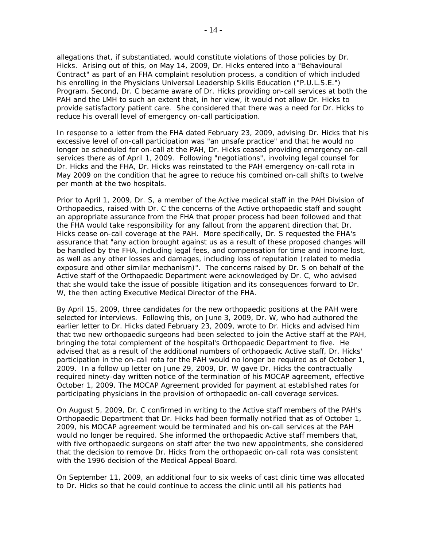allegations that, if substantiated, would constitute violations of those policies by Dr. Hicks. Arising out of this, on May 14, 2009, Dr. Hicks entered into a "Behavioural Contract" as part of an FHA complaint resolution process, a condition of which included his enrolling in the Physicians Universal Leadership Skills Education ("P.U.L.S.E.") Program. Second, Dr. C became aware of Dr. Hicks providing on-call services at both the PAH and the LMH to such an extent that, in her view, it would not allow Dr. Hicks to provide satisfactory patient care. She considered that there was a need for Dr. Hicks to reduce his overall level of emergency on-call participation.

In response to a letter from the FHA dated February 23, 2009, advising Dr. Hicks that his excessive level of on-call participation was "an unsafe practice" and that he would no longer be scheduled for on-call at the PAH, Dr. Hicks ceased providing emergency on-call services there as of April 1, 2009. Following "negotiations", involving legal counsel for Dr. Hicks and the FHA, Dr. Hicks was reinstated to the PAH emergency on-call rota in May 2009 on the condition that he agree to reduce his combined on-call shifts to twelve per month at the two hospitals.

Prior to April 1, 2009, Dr. S, a member of the Active medical staff in the PAH Division of Orthopaedics, raised with Dr. C the concerns of the Active orthopaedic staff and sought an appropriate assurance from the FHA that proper process had been followed and that the FHA would take responsibility for any fallout from the apparent direction that Dr. Hicks cease on-call coverage at the PAH. More specifically, Dr. S requested the FHA's assurance that "any action brought against us as a result of these proposed changes will be handled by the FHA, including legal fees, and compensation for time and income lost, as well as any other losses and damages, including loss of reputation (related to media exposure and other similar mechanism)". The concerns raised by Dr. S on behalf of the Active staff of the Orthopaedic Department were acknowledged by Dr. C, who advised that she would take the issue of possible litigation and its consequences forward to Dr. W, the then acting Executive Medical Director of the FHA.

By April 15, 2009, three candidates for the new orthopaedic positions at the PAH were selected for interviews. Following this, on June 3, 2009, Dr. W, who had authored the earlier letter to Dr. Hicks dated February 23, 2009, wrote to Dr. Hicks and advised him that two new orthopaedic surgeons had been selected to join the Active staff at the PAH, bringing the total complement of the hospital's Orthopaedic Department to five. He advised that as a result of the additional numbers of orthopaedic Active staff, Dr. Hicks' participation in the on-call rota for the PAH would no longer be required as of October 1, 2009. In a follow up letter on June 29, 2009, Dr. W gave Dr. Hicks the contractually required ninety-day written notice of the termination of his MOCAP agreement, effective October 1, 2009. The MOCAP Agreement provided for payment at established rates for participating physicians in the provision of orthopaedic on-call coverage services.

On August 5, 2009, Dr. C confirmed in writing to the Active staff members of the PAH's Orthopaedic Department that Dr. Hicks had been formally notified that as of October 1, 2009, his MOCAP agreement would be terminated and his on-call services at the PAH would no longer be required. She informed the orthopaedic Active staff members that, with five orthopaedic surgeons on staff after the two new appointments, she considered that the decision to remove Dr. Hicks from the orthopaedic on-call rota was consistent with the 1996 decision of the Medical Appeal Board.

On September 11, 2009, an additional four to six weeks of cast clinic time was allocated to Dr. Hicks so that he could continue to access the clinic until all his patients had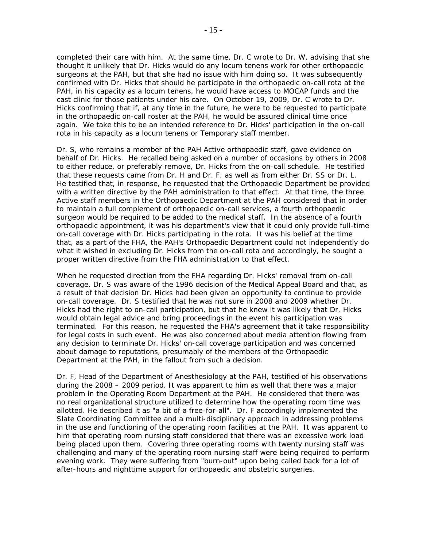completed their care with him. At the same time, Dr. C wrote to Dr. W, advising that she thought it unlikely that Dr. Hicks would do any *locum tenens* work for other orthopaedic surgeons at the PAH, but that she had no issue with him doing so. It was subsequently confirmed with Dr. Hicks that should he participate in the orthopaedic on-call rota at the PAH, in his capacity as a *locum tenens*, he would have access to MOCAP funds and the cast clinic for those patients under his care. On October 19, 2009, Dr. C wrote to Dr. Hicks confirming that if, at any time in the future, he were to be requested to participate in the orthopaedic on-call roster at the PAH, he would be assured clinical time once again. We take this to be an intended reference to Dr. Hicks' participation in the on-call rota in his capacity as a *locum tenens* or Temporary staff member.

Dr. S, who remains a member of the PAH Active orthopaedic staff, gave evidence on behalf of Dr. Hicks. He recalled being asked on a number of occasions by others in 2008 to either reduce, or preferably remove, Dr. Hicks from the on-call schedule. He testified that these requests came from Dr. H and Dr. F, as well as from either Dr. SS or Dr. L. He testified that, in response, he requested that the Orthopaedic Department be provided with a written directive by the PAH administration to that effect. At that time, the three Active staff members in the Orthopaedic Department at the PAH considered that in order to maintain a full complement of orthopaedic on-call services, a fourth orthopaedic surgeon would be required to be added to the medical staff. In the absence of a fourth orthopaedic appointment, it was his department's view that it could only provide full-time on-call coverage with Dr. Hicks participating in the rota. It was his belief at the time that, as a part of the FHA, the PAH's Orthopaedic Department could not independently do what it wished in excluding Dr. Hicks from the on-call rota and accordingly, he sought a proper written directive from the FHA administration to that effect.

When he requested direction from the FHA regarding Dr. Hicks' removal from on-call coverage, Dr. S was aware of the 1996 decision of the Medical Appeal Board and that, as a result of that decision Dr. Hicks had been given an opportunity to continue to provide on-call coverage. Dr. S testified that he was not sure in 2008 and 2009 whether Dr. Hicks had the right to on-call participation, but that he knew it was likely that Dr. Hicks would obtain legal advice and bring proceedings in the event his participation was terminated. For this reason, he requested the FHA's agreement that it take responsibility for legal costs in such event. He was also concerned about media attention flowing from any decision to terminate Dr. Hicks' on-call coverage participation and was concerned about damage to reputations, presumably of the members of the Orthopaedic Department at the PAH, in the fallout from such a decision.

Dr. F, Head of the Department of Anesthesiology at the PAH, testified of his observations during the 2008 – 2009 period. It was apparent to him as well that there was a major problem in the Operating Room Department at the PAH. He considered that there was no real organizational structure utilized to determine how the operating room time was allotted. He described it as "a bit of a free-for-all". Dr. F accordingly implemented the Slate Coordinating Committee and a multi-disciplinary approach in addressing problems in the use and functioning of the operating room facilities at the PAH. It was apparent to him that operating room nursing staff considered that there was an excessive work load being placed upon them. Covering three operating rooms with twenty nursing staff was challenging and many of the operating room nursing staff were being required to perform evening work. They were suffering from "burn-out" upon being called back for a lot of after-hours and nighttime support for orthopaedic and obstetric surgeries.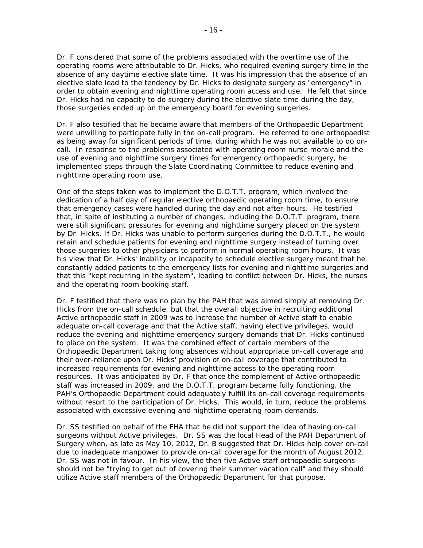Dr. F considered that some of the problems associated with the overtime use of the operating rooms were attributable to Dr. Hicks, who required evening surgery time in the absence of any daytime elective slate time. It was his impression that the absence of an elective slate lead to the tendency by Dr. Hicks to designate surgery as "emergency" in order to obtain evening and nighttime operating room access and use. He felt that since Dr. Hicks had no capacity to do surgery during the elective slate time during the day, those surgeries ended up on the emergency board for evening surgeries.

Dr. F also testified that he became aware that members of the Orthopaedic Department were unwilling to participate fully in the on-call program. He referred to one orthopaedist as being away for significant periods of time, during which he was not available to do oncall. In response to the problems associated with operating room nurse morale and the use of evening and nighttime surgery times for emergency orthopaedic surgery, he implemented steps through the Slate Coordinating Committee to reduce evening and nighttime operating room use.

One of the steps taken was to implement the D.O.T.T. program, which involved the dedication of a half day of regular elective orthopaedic operating room time, to ensure that emergency cases were handled during the day and not after-hours. He testified that, in spite of instituting a number of changes, including the D.O.T.T. program, there were still significant pressures for evening and nighttime surgery placed on the system by Dr. Hicks. If Dr. Hicks was unable to perform surgeries during the D.O.T.T., he would retain and schedule patients for evening and nighttime surgery instead of turning over those surgeries to other physicians to perform in normal operating room hours. It was his view that Dr. Hicks' inability or incapacity to schedule elective surgery meant that he constantly added patients to the emergency lists for evening and nighttime surgeries and that this "kept recurring in the system", leading to conflict between Dr. Hicks, the nurses and the operating room booking staff.

Dr. F testified that there was no plan by the PAH that was aimed simply at removing Dr. Hicks from the on-call schedule, but that the overall objective in recruiting additional Active orthopaedic staff in 2009 was to increase the number of Active staff to enable adequate on-call coverage and that the Active staff, having elective privileges, would reduce the evening and nighttime emergency surgery demands that Dr. Hicks continued to place on the system. It was the combined effect of certain members of the Orthopaedic Department taking long absences without appropriate on-call coverage and their over-reliance upon Dr. Hicks' provision of on-call coverage that contributed to increased requirements for evening and nighttime access to the operating room resources. It was anticipated by Dr. F that once the complement of Active orthopaedic staff was increased in 2009, and the D.O.T.T. program became fully functioning, the PAH's Orthopaedic Department could adequately fulfill its on-call coverage requirements without resort to the participation of Dr. Hicks. This would, in turn, reduce the problems associated with excessive evening and nighttime operating room demands.

Dr. SS testified on behalf of the FHA that he did not support the idea of having on-call surgeons without Active privileges. Dr. SS was the local Head of the PAH Department of Surgery when, as late as May 10, 2012, Dr. B suggested that Dr. Hicks help cover on-call due to inadequate manpower to provide on-call coverage for the month of August 2012. Dr. SS was not in favour. In his view, the then five Active staff orthopaedic surgeons should not be "trying to get out of covering their summer vacation call" and they should utilize Active staff members of the Orthopaedic Department for that purpose.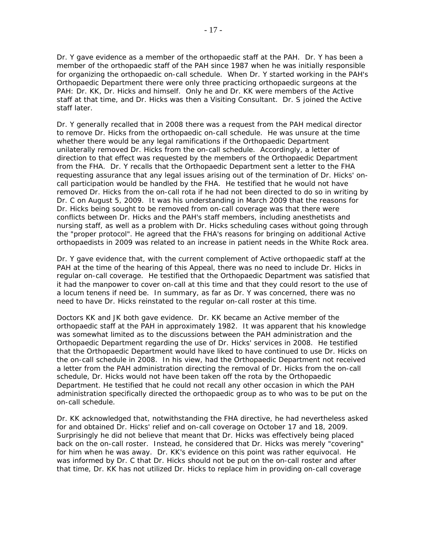Dr. Y gave evidence as a member of the orthopaedic staff at the PAH. Dr. Y has been a member of the orthopaedic staff of the PAH since 1987 when he was initially responsible for organizing the orthopaedic on-call schedule. When Dr. Y started working in the PAH's Orthopaedic Department there were only three practicing orthopaedic surgeons at the PAH: Dr. KK, Dr. Hicks and himself. Only he and Dr. KK were members of the Active staff at that time, and Dr. Hicks was then a Visiting Consultant. Dr. S joined the Active staff later.

Dr. Y generally recalled that in 2008 there was a request from the PAH medical director to remove Dr. Hicks from the orthopaedic on-call schedule. He was unsure at the time whether there would be any legal ramifications if the Orthopaedic Department unilaterally removed Dr. Hicks from the on-call schedule. Accordingly, a letter of direction to that effect was requested by the members of the Orthopaedic Department from the FHA. Dr. Y recalls that the Orthopaedic Department sent a letter to the FHA requesting assurance that any legal issues arising out of the termination of Dr. Hicks' oncall participation would be handled by the FHA. He testified that he would not have removed Dr. Hicks from the on-call rota if he had not been directed to do so in writing by Dr. C on August 5, 2009. It was his understanding in March 2009 that the reasons for Dr. Hicks being sought to be removed from on-call coverage was that there were conflicts between Dr. Hicks and the PAH's staff members, including anesthetists and nursing staff, as well as a problem with Dr. Hicks scheduling cases without going through the "proper protocol". He agreed that the FHA's reasons for bringing on additional Active orthopaedists in 2009 was related to an increase in patient needs in the White Rock area.

Dr. Y gave evidence that, with the current complement of Active orthopaedic staff at the PAH at the time of the hearing of this Appeal, there was no need to include Dr. Hicks in regular on-call coverage. He testified that the Orthopaedic Department was satisfied that it had the manpower to cover on-call at this time and that they could resort to the use of a *locum tenens* if need be. In summary, as far as Dr. Y was concerned, there was no need to have Dr. Hicks reinstated to the regular on-call roster at this time.

Doctors KK and JK both gave evidence. Dr. KK became an Active member of the orthopaedic staff at the PAH in approximately 1982. It was apparent that his knowledge was somewhat limited as to the discussions between the PAH administration and the Orthopaedic Department regarding the use of Dr. Hicks' services in 2008. He testified that the Orthopaedic Department would have liked to have continued to use Dr. Hicks on the on-call schedule in 2008. In his view, had the Orthopaedic Department not received a letter from the PAH administration directing the removal of Dr. Hicks from the on-call schedule, Dr. Hicks would not have been taken off the rota by the Orthopaedic Department. He testified that he could not recall any other occasion in which the PAH administration specifically directed the orthopaedic group as to who was to be put on the on-call schedule.

Dr. KK acknowledged that, notwithstanding the FHA directive, he had nevertheless asked for and obtained Dr. Hicks' relief and on-call coverage on October 17 and 18, 2009. Surprisingly he did not believe that meant that Dr. Hicks was effectively being placed back on the on-call roster. Instead, he considered that Dr. Hicks was merely "covering" for him when he was away. Dr. KK's evidence on this point was rather equivocal. He was informed by Dr. C that Dr. Hicks should not be put on the on-call roster and after that time, Dr. KK has not utilized Dr. Hicks to replace him in providing on-call coverage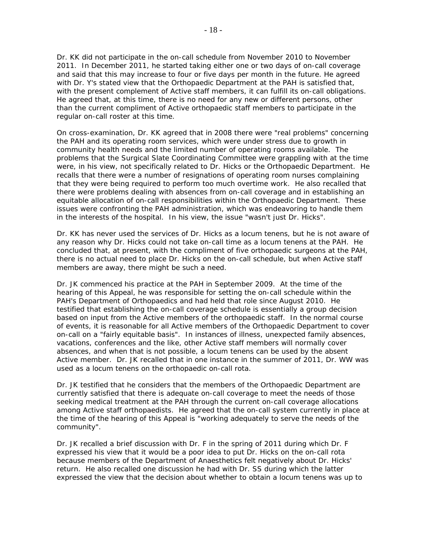Dr. KK did not participate in the on-call schedule from November 2010 to November 2011. In December 2011, he started taking either one or two days of on-call coverage and said that this may increase to four or five days per month in the future. He agreed with Dr. Y's stated view that the Orthopaedic Department at the PAH is satisfied that, with the present complement of Active staff members, it can fulfill its on-call obligations. He agreed that, at this time, there is no need for any new or different persons, other than the current compliment of Active orthopaedic staff members to participate in the regular on-call roster at this time.

On cross-examination, Dr. KK agreed that in 2008 there were "real problems" concerning the PAH and its operating room services, which were under stress due to growth in community health needs and the limited number of operating rooms available. The problems that the Surgical Slate Coordinating Committee were grappling with at the time were, in his view, not specifically related to Dr. Hicks or the Orthopaedic Department. He recalls that there were a number of resignations of operating room nurses complaining that they were being required to perform too much overtime work. He also recalled that there were problems dealing with absences from on-call coverage and in establishing an equitable allocation of on-call responsibilities within the Orthopaedic Department. These issues were confronting the PAH administration, which was endeavoring to handle them in the interests of the hospital. In his view, the issue "wasn't just Dr. Hicks".

Dr. KK has never used the services of Dr. Hicks as a *locum tenens*, but he is not aware of any reason why Dr. Hicks could not take on-call time as a *locum tenens* at the PAH. He concluded that, at present, with the compliment of five orthopaedic surgeons at the PAH, there is no actual need to place Dr. Hicks on the on-call schedule, but when Active staff members are away, there might be such a need.

Dr. JK commenced his practice at the PAH in September 2009. At the time of the hearing of this Appeal, he was responsible for setting the on-call schedule within the PAH's Department of Orthopaedics and had held that role since August 2010. He testified that establishing the on-call coverage schedule is essentially a group decision based on input from the Active members of the orthopaedic staff. In the normal course of events, it is reasonable for all Active members of the Orthopaedic Department to cover on-call on a "fairly equitable basis". In instances of illness, unexpected family absences, vacations, conferences and the like, other Active staff members will normally cover absences, and when that is not possible, a *locum tenens* can be used by the absent Active member. Dr. JK recalled that in one instance in the summer of 2011, Dr. WW was used as a *locum tenens* on the orthopaedic on-call rota.

Dr. JK testified that he considers that the members of the Orthopaedic Department are currently satisfied that there is adequate on-call coverage to meet the needs of those seeking medical treatment at the PAH through the current on-call coverage allocations among Active staff orthopaedists. He agreed that the on-call system currently in place at the time of the hearing of this Appeal is "working adequately to serve the needs of the community".

Dr. JK recalled a brief discussion with Dr. F in the spring of 2011 during which Dr. F expressed his view that it would be a poor idea to put Dr. Hicks on the on-call rota because members of the Department of Anaesthetics felt negatively about Dr. Hicks' return. He also recalled one discussion he had with Dr. SS during which the latter expressed the view that the decision about whether to obtain a *locum tenens* was up to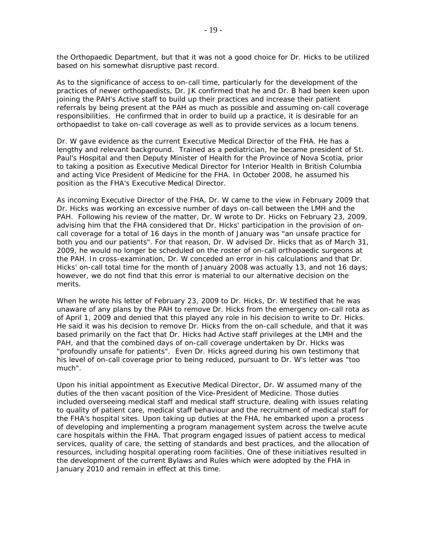the Orthopaedic Department, but that it was not a good choice for Dr. Hicks to be utilized based on his somewhat disruptive past record.

As to the significance of access to on-call time, particularly for the development of the practices of newer orthopaedists, Dr. JK confirmed that he and Dr. B had been keen upon joining the PAH's Active staff to build up their practices and increase their patient referrals by being present at the PAH as much as possible and assuming on-call coverage responsibilities. He confirmed that in order to build up a practice, it is desirable for an orthopaedist to take on-call coverage as well as to provide services as a *locum tenens.*

Dr. W gave evidence as the current Executive Medical Director of the FHA. He has a lengthy and relevant background. Trained as a pediatrician, he became president of St. Paul's Hospital and then Deputy Minister of Health for the Province of Nova Scotia, prior to taking a position as Executive Medical Director for Interior Health in British Columbia and acting Vice President of Medicine for the FHA. In October 2008, he assumed his position as the FHA's Executive Medical Director.

As incoming Executive Director of the FHA, Dr. W came to the view in February 2009 that Dr. Hicks was working an excessive number of days on-call between the LMH and the PAH. Following his review of the matter, Dr. W wrote to Dr. Hicks on February 23, 2009, advising him that the FHA considered that Dr. Hicks' participation in the provision of oncall coverage for a total of 16 days in the month of January was "an unsafe practice for both you and our patients". For that reason, Dr. W advised Dr. Hicks that as of March 31, 2009, he would no longer be scheduled on the roster of on-call orthopaedic surgeons at the PAH. In cross-examination, Dr. W conceded an error in his calculations and that Dr. Hicks' on-call total time for the month of January 2008 was actually 13, and not 16 days; however, we do not find that this error is material to our alternative decision on the merits.

When he wrote his letter of February 23, 2009 to Dr. Hicks, Dr. W testified that he was unaware of any plans by the PAH to remove Dr. Hicks from the emergency on-call rota as of April 1, 2009 and denied that this played any role in his decision to write to Dr. Hicks. He said it was his decision to remove Dr. Hicks from the on-call schedule, and that it was based primarily on the fact that Dr. Hicks had Active staff privileges at the LMH and the PAH, and that the combined days of on-call coverage undertaken by Dr. Hicks was "profoundly unsafe for patients". Even Dr. Hicks agreed during his own testimony that his level of on-call coverage prior to being reduced, pursuant to Dr. W's letter was "too much".

Upon his initial appointment as Executive Medical Director, Dr. W assumed many of the duties of the then vacant position of the Vice-President of Medicine. Those duties included overseeing medical staff and medical staff structure, dealing with issues relating to quality of patient care, medical staff behaviour and the recruitment of medical staff for the FHA's hospital sites. Upon taking up duties at the FHA, he embarked upon a process of developing and implementing a program management system across the twelve acute care hospitals within the FHA. That program engaged issues of patient access to medical services, quality of care, the setting of standards and best practices, and the allocation of resources, including hospital operating room facilities. One of these initiatives resulted in the development of the current *Bylaws* and *Rules* which were adopted by the FHA in January 2010 and remain in effect at this time.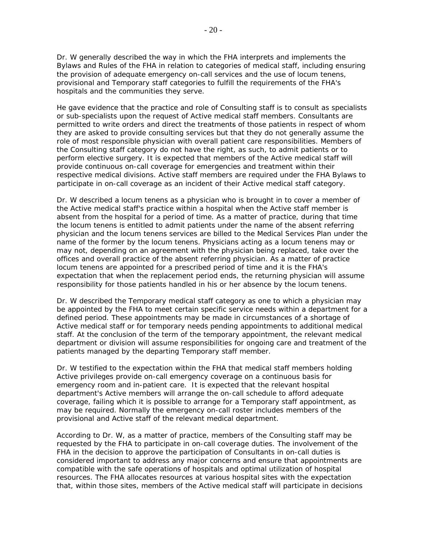Dr. W generally described the way in which the FHA interprets and implements the *Bylaws* and *Rules* of the FHA in relation to categories of medical staff, including ensuring the provision of adequate emergency on-call services and the use of *locum tenens*, provisional and Temporary staff categories to fulfill the requirements of the FHA's hospitals and the communities they serve.

He gave evidence that the practice and role of Consulting staff is to consult as specialists or sub-specialists upon the request of Active medical staff members. Consultants are permitted to write orders and direct the treatments of those patients in respect of whom they are asked to provide consulting services but that they do not generally assume the role of most responsible physician with overall patient care responsibilities. Members of the Consulting staff category do not have the right, as such, to admit patients or to perform elective surgery. It is expected that members of the Active medical staff will provide continuous on-call coverage for emergencies and treatment within their respective medical divisions. Active staff members are required under the FHA *Bylaws* to participate in on-call coverage as an incident of their Active medical staff category.

Dr. W described a *locum tenens* as a physician who is brought in to cover a member of the Active medical staff's practice within a hospital when the Active staff member is absent from the hospital for a period of time. As a matter of practice, during that time the *locum tenens* is entitled to admit patients under the name of the absent referring physician and the *locum tenens* services are billed to the Medical Services Plan under the name of the former by the *locum tenens*. Physicians acting as a *locum tenens* may or may not, depending on an agreement with the physician being replaced, take over the offices and overall practice of the absent referring physician. As a matter of practice *locum tenens* are appointed for a prescribed period of time and it is the FHA's expectation that when the replacement period ends, the returning physician will assume responsibility for those patients handled in his or her absence by the *locum tenens*.

Dr. W described the Temporary medical staff category as one to which a physician may be appointed by the FHA to meet certain specific service needs within a department for a defined period. These appointments may be made in circumstances of a shortage of Active medical staff or for temporary needs pending appointments to additional medical staff. At the conclusion of the term of the temporary appointment, the relevant medical department or division will assume responsibilities for ongoing care and treatment of the patients managed by the departing Temporary staff member.

Dr. W testified to the expectation within the FHA that medical staff members holding Active privileges provide on-call emergency coverage on a continuous basis for emergency room and in-patient care. It is expected that the relevant hospital department's Active members will arrange the on-call schedule to afford adequate coverage, failing which it is possible to arrange for a Temporary staff appointment, as may be required. Normally the emergency on-call roster includes members of the provisional and Active staff of the relevant medical department.

According to Dr. W, as a matter of practice, members of the Consulting staff may be requested by the FHA to participate in on-call coverage duties. The involvement of the FHA in the decision to approve the participation of Consultants in on-call duties is considered important to address any major concerns and ensure that appointments are compatible with the safe operations of hospitals and optimal utilization of hospital resources. The FHA allocates resources at various hospital sites with the expectation that, within those sites, members of the Active medical staff will participate in decisions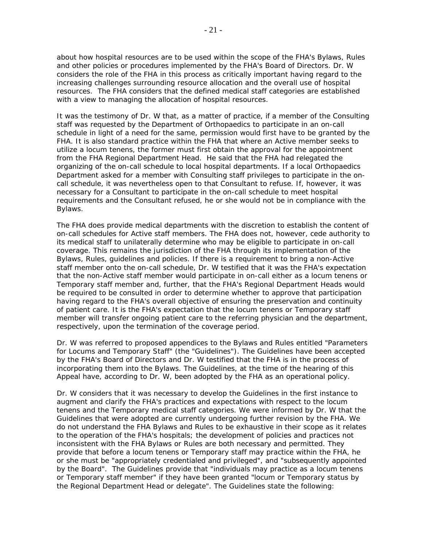about how hospital resources are to be used within the scope of the FHA's *Bylaw*s, *Rules* and other policies or procedures implemented by the FHA's Board of Directors. Dr. W considers the role of the FHA in this process as critically important having regard to the increasing challenges surrounding resource allocation and the overall use of hospital resources. The FHA considers that the defined medical staff categories are established with a view to managing the allocation of hospital resources.

It was the testimony of Dr. W that, as a matter of practice, if a member of the Consulting staff was requested by the Department of Orthopaedics to participate in an on-call schedule in light of a need for the same, permission would first have to be granted by the FHA. It is also standard practice within the FHA that where an Active member seeks to utilize a *locum tenens*, the former must first obtain the approval for the appointment from the FHA Regional Department Head. He said that the FHA had relegated the organizing of the on-call schedule to local hospital departments. If a local Orthopaedics Department asked for a member with Consulting staff privileges to participate in the oncall schedule, it was nevertheless open to that Consultant to refuse. If, however, it was necessary for a Consultant to participate in the on-call schedule to meet hospital requirements and the Consultant refused, he or she would not be in compliance with the *Bylaws*.

The FHA does provide medical departments with the discretion to establish the content of on-call schedules for Active staff members. The FHA does not, however, cede authority to its medical staff to unilaterally determine who may be eligible to participate in on-call coverage. This remains the jurisdiction of the FHA through its implementation of the *Bylaws, Rules*, guidelines and policies. If there is a requirement to bring a non-Active staff member onto the on-call schedule, Dr. W testified that it was the FHA's expectation that the non-Active staff member would participate in on-call either as a *locum tenens* or Temporary staff member and, further, that the FHA's Regional Department Heads would be required to be consulted in order to determine whether to approve that participation having regard to the FHA's overall objective of ensuring the preservation and continuity of patient care. It is the FHA's expectation that the *locum tenens* or Temporary staff member will transfer ongoing patient care to the referring physician and the department, respectively, upon the termination of the coverage period.

Dr. W was referred to proposed appendices to the *Bylaw*s and *Rules* entitled "Parameters for Locums and Temporary Staff" (the "Guidelines"). The Guidelines have been accepted by the FHA's Board of Directors and Dr. W testified that the FHA is in the process of incorporating them into the *Bylaws*. The Guidelines, at the time of the hearing of this Appeal have, according to Dr. W, been adopted by the FHA as an operational policy.

Dr. W considers that it was necessary to develop the Guidelines in the first instance to augment and clarify the FHA's practices and expectations with respect to the *locum tenens* and the Temporary medical staff categories. We were informed by Dr. W that the Guidelines that were adopted are currently undergoing further revision by the FHA. We do not understand the FHA *Bylaws* and *Rules* to be exhaustive in their scope as it relates to the operation of the FHA's hospitals; the development of policies and practices not inconsistent with the FHA *Bylaws* or *Rules* are both necessary and permitted. They provide that before a *locum tenens* or Temporary staff may practice within the FHA, he or she must be "appropriately credentialed and privileged", and "subsequently appointed by the Board". The Guidelines provide that "individuals may practice as a *locum tenens*  or Temporary staff member" if they have been granted "*locum* or Temporary status by the Regional Department Head or delegate". The Guidelines state the following: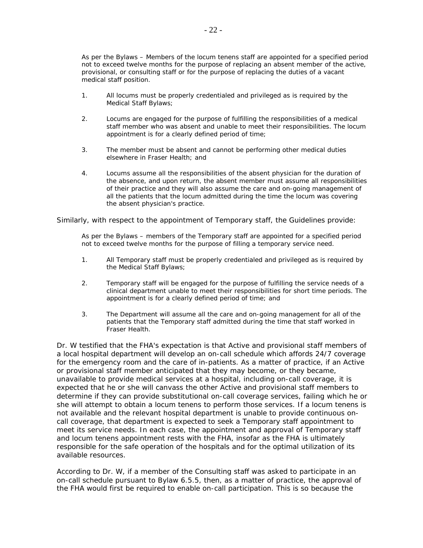As per the *Bylaws* – Members of the *locum tenens* staff are appointed for a specified period not to exceed twelve months for the purpose of replacing an absent member of the active, provisional, or consulting staff or for the purpose of replacing the duties of a vacant medical staff position.

- 1. All *locums* must be properly credentialed and privileged as is required by the Medical Staff *Bylaws*;
- 2. *Locums* are engaged for the purpose of fulfilling the responsibilities of a medical staff member who was absent and unable to meet their responsibilities. The *locum* appointment is for a clearly defined period of time;
- 3. The member must be absent and cannot be performing other medical duties elsewhere in Fraser Health; and
- 4. *Locums* assume all the responsibilities of the absent physician for the duration of the absence, and upon return, the absent member must assume all responsibilities of their practice and they will also assume the care and on-going management of all the patients that the *locum* admitted during the time the *locum* was covering the absent physician's practice.

Similarly, with respect to the appointment of Temporary staff, the Guidelines provide:

As per the *Bylaws* – members of the Temporary staff are appointed for a specified period not to exceed twelve months for the purpose of filling a temporary service need.

- 1. All Temporary staff must be properly credentialed and privileged as is required by the Medical Staff *Bylaws*;
- 2. Temporary staff will be engaged for the purpose of fulfilling the service needs of a clinical department unable to meet their responsibilities for short time periods. The appointment is for a clearly defined period of time; and
- 3. The Department will assume all the care and on-going management for all of the patients that the Temporary staff admitted during the time that staff worked in Fraser Health.

Dr. W testified that the FHA's expectation is that Active and provisional staff members of a local hospital department will develop an on-call schedule which affords 24/7 coverage for the emergency room and the care of in-patients. As a matter of practice, if an Active or provisional staff member anticipated that they may become, or they became, unavailable to provide medical services at a hospital, including on-call coverage, it is expected that he or she will canvass the other Active and provisional staff members to determine if they can provide substitutional on-call coverage services, failing which he or she will attempt to obtain a *locum tenens* to perform those services. If a *locum tenens* is not available and the relevant hospital department is unable to provide continuous oncall coverage, that department is expected to seek a Temporary staff appointment to meet its service needs. In each case, the appointment and approval of Temporary staff and *locum tenens* appointment rests with the FHA, insofar as the FHA is ultimately responsible for the safe operation of the hospitals and for the optimal utilization of its available resources.

According to Dr. W, if a member of the Consulting staff was asked to participate in an on-call schedule pursuant to *Bylaw* 6.5.5, then, as a matter of practice, the approval of the FHA would first be required to enable on-call participation. This is so because the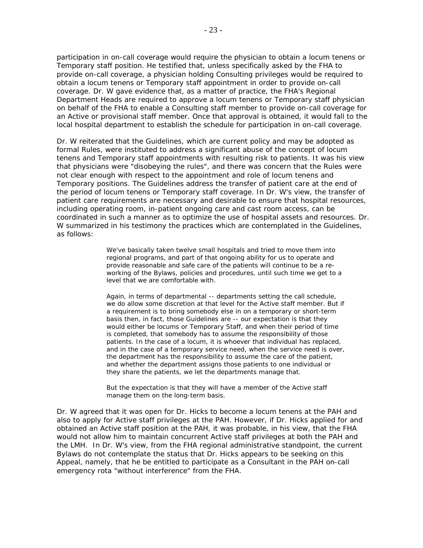participation in on-call coverage would require the physician to obtain a *locum tenens* or Temporary staff position. He testified that, unless specifically asked by the FHA to provide on-call coverage, a physician holding Consulting privileges would be required to obtain a *locum tenens* or Temporary staff appointment in order to provide on-call coverage. Dr. W gave evidence that, as a matter of practice, the FHA's Regional Department Heads are required to approve a *locum tenens* or Temporary staff physician on behalf of the FHA to enable a Consulting staff member to provide on-call coverage for an Active or provisional staff member. Once that approval is obtained, it would fall to the local hospital department to establish the schedule for participation in on-call coverage.

Dr. W reiterated that the Guidelines, which are current policy and may be adopted as formal *Rules*, were instituted to address a significant abuse of the concept of *locum tenens* and Temporary staff appointments with resulting risk to patients. It was his view that physicians were "disobeying the rules", and there was concern that the *Rules* were not clear enough with respect to the appointment and role of *locum tenens* and Temporary positions. The Guidelines address the transfer of patient care at the end of the period of *locum tenens* or Temporary staff coverage. In Dr. W's view, the transfer of patient care requirements are necessary and desirable to ensure that hospital resources, including operating room, in-patient ongoing care and cast room access, can be coordinated in such a manner as to optimize the use of hospital assets and resources. Dr. W summarized in his testimony the practices which are contemplated in the Guidelines, as follows:

> We've basically taken twelve small hospitals and tried to move them into regional programs, and part of that ongoing ability for us to operate and provide reasonable and safe care of the patients will continue to be a reworking of the *Bylaws,* policies and procedures, until such time we get to a level that we are comfortable with.

Again, in terms of departmental -- departments setting the call schedule, we do allow some discretion at that level for the Active staff member. But if a requirement is to bring somebody else in on a temporary or short-term basis then, in fact, those Guidelines are -- our expectation is that they would either be *locums* or Temporary Staff, and when their period of time is completed, that somebody has to assume the responsibility of those patients. In the case of a *locum*, it is whoever that individual has replaced, and in the case of a temporary service need, when the service need is over, the department has the responsibility to assume the care of the patient, and whether the department assigns those patients to one individual or they share the patients, we let the departments manage that.

But the expectation is that they will have a member of the Active staff manage them on the long-term basis.

Dr. W agreed that it was open for Dr. Hicks to become a *locum tenens* at the PAH and also to apply for Active staff privileges at the PAH. However, if Dr. Hicks applied for and obtained an Active staff position at the PAH, it was probable, in his view, that the FHA would not allow him to maintain concurrent Active staff privileges at both the PAH and the LMH. In Dr. W's view, from the FHA regional administrative standpoint, the current *Bylaws* do not contemplate the status that Dr. Hicks appears to be seeking on this Appeal, namely, that he be entitled to participate as a Consultant in the PAH on-call emergency rota "without interference" from the FHA.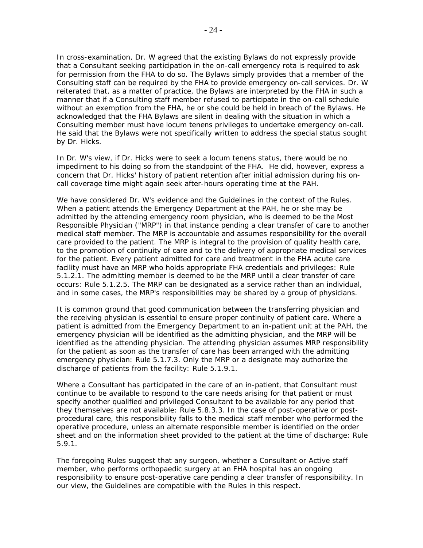In cross-examination, Dr. W agreed that the existing *Bylaws* do not expressly provide that a Consultant seeking participation in the on-call emergency rota is required to ask for permission from the FHA to do so. The *Bylaws* simply provides that a member of the Consulting staff can be required by the FHA to provide emergency on-call services. Dr. W reiterated that, as a matter of practice, the *Bylaws* are interpreted by the FHA in such a manner that if a Consulting staff member refused to participate in the on-call schedule without an exemption from the FHA, he or she could be held in breach of the *Bylaws*. He acknowledged that the FHA *Bylaws* are silent in dealing with the situation in which a Consulting member must have *locum tenens* privileges to undertake emergency on-call. He said that the *Bylaws* were not specifically written to address the special status sought by Dr. Hicks.

In Dr. W's view, if Dr. Hicks were to seek a *locum tenens* status, there would be no impediment to his doing so from the standpoint of the FHA. He did, however, express a concern that Dr. Hicks' history of patient retention after initial admission during his oncall coverage time might again seek after-hours operating time at the PAH.

We have considered Dr. W's evidence and the Guidelines in the context of the *Rules*. When a patient attends the Emergency Department at the PAH, he or she may be admitted by the attending emergency room physician, who is deemed to be the Most Responsible Physician ("MRP") in that instance pending a clear transfer of care to another medical staff member. The MRP is accountable and assumes responsibility for the overall care provided to the patient. The MRP is integral to the provision of quality health care, to the promotion of continuity of care and to the delivery of appropriate medical services for the patient. Every patient admitted for care and treatment in the FHA acute care facility must have an MRP who holds appropriate FHA credentials and privileges: *Rule* 5.1.2.1. The admitting member is deemed to be the MRP until a clear transfer of care occurs: *Rule* 5.1.2.5. The MRP can be designated as a service rather than an individual, and in some cases, the MRP's responsibilities may be shared by a group of physicians.

It is common ground that good communication between the transferring physician and the receiving physician is essential to ensure proper continuity of patient care. Where a patient is admitted from the Emergency Department to an in-patient unit at the PAH, the emergency physician will be identified as the admitting physician, and the MRP will be identified as the attending physician. The attending physician assumes MRP responsibility for the patient as soon as the transfer of care has been arranged with the admitting emergency physician: *Rule* 5.1.7.3. Only the MRP or a designate may authorize the discharge of patients from the facility: *Rule* 5.1.9.1.

Where a Consultant has participated in the care of an in-patient, that Consultant must continue to be available to respond to the care needs arising for that patient or must specify another qualified and privileged Consultant to be available for any period that they themselves are not available: *Rule* 5.8.3.3. In the case of post-operative or postprocedural care, this responsibility falls to the medical staff member who performed the operative procedure, unless an alternate responsible member is identified on the order sheet and on the information sheet provided to the patient at the time of discharge: *Rule* 5.9.1.

The foregoing *Rules* suggest that any surgeon, whether a Consultant or Active staff member, who performs orthopaedic surgery at an FHA hospital has an ongoing responsibility to ensure post-operative care pending a clear transfer of responsibility. In our view, the Guidelines are compatible with the *Rules* in this respect.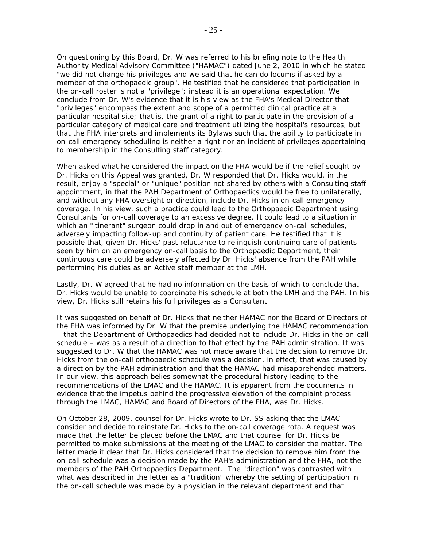On questioning by this Board, Dr. W was referred to his briefing note to the Health Authority Medical Advisory Committee ("HAMAC") dated June 2, 2010 in which he stated "we did not change his privileges and we said that he can do locums if asked by a member of the orthopaedic group". He testified that he considered that participation in the on-call roster is not a "privilege"; instead it is an operational expectation. We conclude from Dr. W's evidence that it is his view as the FHA's Medical Director that "privileges" encompass the extent and scope of a permitted clinical practice at a particular hospital site; that is, the grant of a right to participate in the provision of a particular category of medical care and treatment utilizing the hospital's resources, but that the FHA interprets and implements its *Bylaws* such that the ability to participate in on-call emergency scheduling is neither a right nor an incident of privileges appertaining to membership in the Consulting staff category.

When asked what he considered the impact on the FHA would be if the relief sought by Dr. Hicks on this Appeal was granted, Dr. W responded that Dr. Hicks would, in the result, enjoy a "special" or "unique" position not shared by others with a Consulting staff appointment, in that the PAH Department of Orthopaedics would be free to unilaterally, and without any FHA oversight or direction, include Dr. Hicks in on-call emergency coverage. In his view, such a practice could lead to the Orthopaedic Department using Consultants for on-call coverage to an excessive degree. It could lead to a situation in which an "itinerant" surgeon could drop in and out of emergency on-call schedules, adversely impacting follow-up and continuity of patient care. He testified that it is possible that, given Dr. Hicks' past reluctance to relinquish continuing care of patients seen by him on an emergency on-call basis to the Orthopaedic Department, their continuous care could be adversely affected by Dr. Hicks' absence from the PAH while performing his duties as an Active staff member at the LMH.

Lastly, Dr. W agreed that he had no information on the basis of which to conclude that Dr. Hicks would be unable to coordinate his schedule at both the LMH and the PAH. In his view, Dr. Hicks still retains his full privileges as a Consultant.

It was suggested on behalf of Dr. Hicks that neither HAMAC nor the Board of Directors of the FHA was informed by Dr. W that the premise underlying the HAMAC recommendation – that the Department of Orthopaedics had decided not to include Dr. Hicks in the on-call schedule – was as a result of a direction to that effect by the PAH administration. It was suggested to Dr. W that the HAMAC was not made aware that the decision to remove Dr. Hicks from the on-call orthopaedic schedule was a decision, in effect, that was caused by a direction by the PAH administration and that the HAMAC had misapprehended matters. In our view, this approach belies somewhat the procedural history leading to the recommendations of the LMAC and the HAMAC. It is apparent from the documents in evidence that the impetus behind the progressive elevation of the complaint process through the LMAC, HAMAC and Board of Directors of the FHA, was Dr. Hicks.

On October 28, 2009, counsel for Dr. Hicks wrote to Dr. SS asking that the LMAC consider and decide to reinstate Dr. Hicks to the on-call coverage rota. A request was made that the letter be placed before the LMAC and that counsel for Dr. Hicks be permitted to make submissions at the meeting of the LMAC to consider the matter. The letter made it clear that Dr. Hicks considered that the decision to remove him from the on-call schedule was a decision made by the PAH's administration and the FHA, not the members of the PAH Orthopaedics Department. The "direction" was contrasted with what was described in the letter as a "tradition" whereby the setting of participation in the on-call schedule was made by a physician in the relevant department and that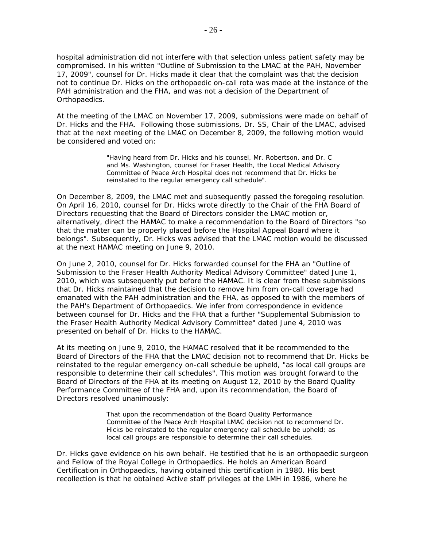hospital administration did not interfere with that selection unless patient safety may be compromised. In his written "Outline of Submission to the LMAC at the PAH, November 17, 2009", counsel for Dr. Hicks made it clear that the complaint was that the decision not to continue Dr. Hicks on the orthopaedic on-call rota was made at the instance of the PAH administration and the FHA, and was not a decision of the Department of Orthopaedics.

At the meeting of the LMAC on November 17, 2009, submissions were made on behalf of Dr. Hicks and the FHA. Following those submissions, Dr. SS, Chair of the LMAC, advised that at the next meeting of the LMAC on December 8, 2009, the following motion would be considered and voted on:

> "Having heard from Dr. Hicks and his counsel, Mr. Robertson, and Dr. C and Ms. Washington, counsel for Fraser Health, the Local Medical Advisory Committee of Peace Arch Hospital does not recommend that Dr. Hicks be reinstated to the regular emergency call schedule".

On December 8, 2009, the LMAC met and subsequently passed the foregoing resolution. On April 16, 2010, counsel for Dr. Hicks wrote directly to the Chair of the FHA Board of Directors requesting that the Board of Directors consider the LMAC motion or, alternatively, direct the HAMAC to make a recommendation to the Board of Directors "so that the matter can be properly placed before the Hospital Appeal Board where it belongs". Subsequently, Dr. Hicks was advised that the LMAC motion would be discussed at the next HAMAC meeting on June 9, 2010.

On June 2, 2010, counsel for Dr. Hicks forwarded counsel for the FHA an "Outline of Submission to the Fraser Health Authority Medical Advisory Committee" dated June 1, 2010, which was subsequently put before the HAMAC. It is clear from these submissions that Dr. Hicks maintained that the decision to remove him from on-call coverage had emanated with the PAH administration and the FHA, as opposed to with the members of the PAH's Department of Orthopaedics. We infer from correspondence in evidence between counsel for Dr. Hicks and the FHA that a further "Supplemental Submission to the Fraser Health Authority Medical Advisory Committee" dated June 4, 2010 was presented on behalf of Dr. Hicks to the HAMAC.

At its meeting on June 9, 2010, the HAMAC resolved that it be recommended to the Board of Directors of the FHA that the LMAC decision not to recommend that Dr. Hicks be reinstated to the regular emergency on-call schedule be upheld, "as local call groups are responsible to determine their call schedules". This motion was brought forward to the Board of Directors of the FHA at its meeting on August 12, 2010 by the Board Quality Performance Committee of the FHA and, upon its recommendation, the Board of Directors resolved unanimously:

> That upon the recommendation of the Board Quality Performance Committee of the Peace Arch Hospital LMAC decision not to recommend Dr. Hicks be reinstated to the regular emergency call schedule be upheld; as local call groups are responsible to determine their call schedules.

Dr. Hicks gave evidence on his own behalf. He testified that he is an orthopaedic surgeon and Fellow of the Royal College in Orthopaedics. He holds an American Board Certification in Orthopaedics, having obtained this certification in 1980. His best recollection is that he obtained Active staff privileges at the LMH in 1986, where he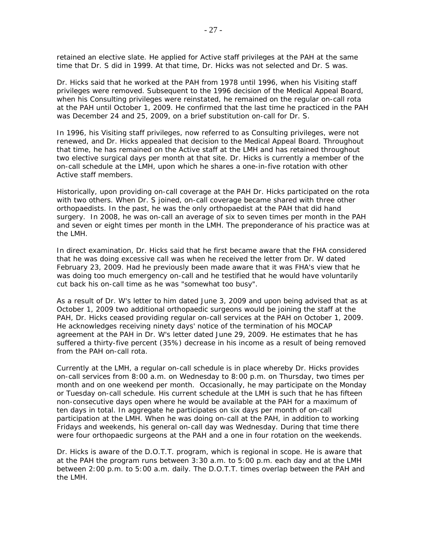retained an elective slate. He applied for Active staff privileges at the PAH at the same time that Dr. S did in 1999. At that time, Dr. Hicks was not selected and Dr. S was.

Dr. Hicks said that he worked at the PAH from 1978 until 1996, when his Visiting staff privileges were removed. Subsequent to the 1996 decision of the Medical Appeal Board, when his Consulting privileges were reinstated, he remained on the regular on-call rota at the PAH until October 1, 2009. He confirmed that the last time he practiced in the PAH was December 24 and 25, 2009, on a brief substitution on-call for Dr. S.

In 1996, his Visiting staff privileges, now referred to as Consulting privileges, were not renewed, and Dr. Hicks appealed that decision to the Medical Appeal Board. Throughout that time, he has remained on the Active staff at the LMH and has retained throughout two elective surgical days per month at that site. Dr. Hicks is currently a member of the on-call schedule at the LMH, upon which he shares a one-in-five rotation with other Active staff members.

Historically, upon providing on-call coverage at the PAH Dr. Hicks participated on the rota with two others. When Dr. S joined, on-call coverage became shared with three other orthopaedists. In the past, he was the only orthopaedist at the PAH that did hand surgery. In 2008, he was on-call an average of six to seven times per month in the PAH and seven or eight times per month in the LMH. The preponderance of his practice was at the LMH.

In direct examination, Dr. Hicks said that he first became aware that the FHA considered that he was doing excessive call was when he received the letter from Dr. W dated February 23, 2009. Had he previously been made aware that it was FHA's view that he was doing too much emergency on-call and he testified that he would have voluntarily cut back his on-call time as he was "somewhat too busy".

As a result of Dr. W's letter to him dated June 3, 2009 and upon being advised that as at October 1, 2009 two additional orthopaedic surgeons would be joining the staff at the PAH, Dr. Hicks ceased providing regular on-call services at the PAH on October 1, 2009. He acknowledges receiving ninety days' notice of the termination of his MOCAP agreement at the PAH in Dr. W's letter dated June 29, 2009. He estimates that he has suffered a thirty-five percent (35%) decrease in his income as a result of being removed from the PAH on-call rota.

Currently at the LMH, a regular on-call schedule is in place whereby Dr. Hicks provides on-call services from 8:00 a.m. on Wednesday to 8:00 p.m. on Thursday, two times per month and on one weekend per month. Occasionally, he may participate on the Monday or Tuesday on-call schedule. His current schedule at the LMH is such that he has fifteen non-consecutive days open where he would be available at the PAH for a maximum of ten days in total. In aggregate he participates on six days per month of on-call participation at the LMH. When he was doing on-call at the PAH, in addition to working Fridays and weekends, his general on-call day was Wednesday. During that time there were four orthopaedic surgeons at the PAH and a one in four rotation on the weekends.

Dr. Hicks is aware of the D.O.T.T. program, which is regional in scope. He is aware that at the PAH the program runs between 3:30 a.m. to 5:00 p.m. each day and at the LMH between 2:00 p.m. to 5:00 a.m. daily. The D.O.T.T. times overlap between the PAH and the LMH.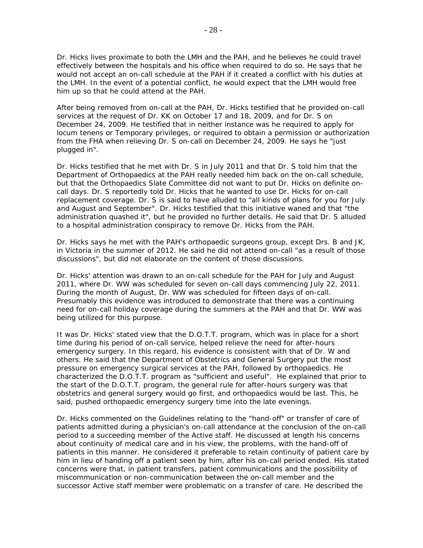Dr. Hicks lives proximate to both the LMH and the PAH, and he believes he could travel effectively between the hospitals and his office when required to do so. He says that he would not accept an on-call schedule at the PAH if it created a conflict with his duties at the LMH. In the event of a potential conflict, he would expect that the LMH would free him up so that he could attend at the PAH.

After being removed from on-call at the PAH, Dr. Hicks testified that he provided on-call services at the request of Dr. KK on October 17 and 18, 2009, and for Dr. S on December 24, 2009. He testified that in neither instance was he required to apply for *locum tenens* or Temporary privileges, or required to obtain a permission or authorization from the FHA when relieving Dr. S on-call on December 24, 2009. He says he "just plugged in".

Dr. Hicks testified that he met with Dr. S in July 2011 and that Dr. S told him that the Department of Orthopaedics at the PAH really needed him back on the on-call schedule, but that the Orthopaedics Slate Committee did not want to put Dr. Hicks on definite oncall days. Dr. S reportedly told Dr. Hicks that he wanted to use Dr. Hicks for on-call replacement coverage. Dr. S is said to have alluded to "all kinds of plans for you for July and August and September". Dr. Hicks testified that this initiative waned and that "the administration quashed it", but he provided no further details. He said that Dr. S alluded to a hospital administration conspiracy to remove Dr. Hicks from the PAH.

Dr. Hicks says he met with the PAH's orthopaedic surgeons group, except Drs. B and JK, in Victoria in the summer of 2012. He said he did not attend on-call "as a result of those discussions", but did not elaborate on the content of those discussions.

Dr. Hicks' attention was drawn to an on-call schedule for the PAH for July and August 2011, where Dr. WW was scheduled for seven on-call days commencing July 22, 2011. During the month of August, Dr. WW was scheduled for fifteen days of on-call. Presumably this evidence was introduced to demonstrate that there was a continuing need for on-call holiday coverage during the summers at the PAH and that Dr. WW was being utilized for this purpose.

It was Dr. Hicks' stated view that the D.O.T.T. program, which was in place for a short time during his period of on-call service, helped relieve the need for after-hours emergency surgery. In this regard, his evidence is consistent with that of Dr. W and others. He said that the Department of Obstetrics and General Surgery put the most pressure on emergency surgical services at the PAH, followed by orthopaedics. He characterized the D.O.T.T. program as "sufficient and useful". He explained that prior to the start of the D.O.T.T. program, the general rule for after-hours surgery was that obstetrics and general surgery would go first, and orthopaedics would be last. This, he said, pushed orthopaedic emergency surgery time into the late evenings.

Dr. Hicks commented on the Guidelines relating to the "hand-off" or transfer of care of patients admitted during a physician's on-call attendance at the conclusion of the on-call period to a succeeding member of the Active staff. He discussed at length his concerns about continuity of medical care and in his view, the problems, with the hand-off of patients in this manner. He considered it preferable to retain continuity of patient care by him in lieu of handing off a patient seen by him, after his on-call period ended. His stated concerns were that, in patient transfers, patient communications and the possibility of miscommunication or non-communication between the on-call member and the successor Active staff member were problematic on a transfer of care. He described the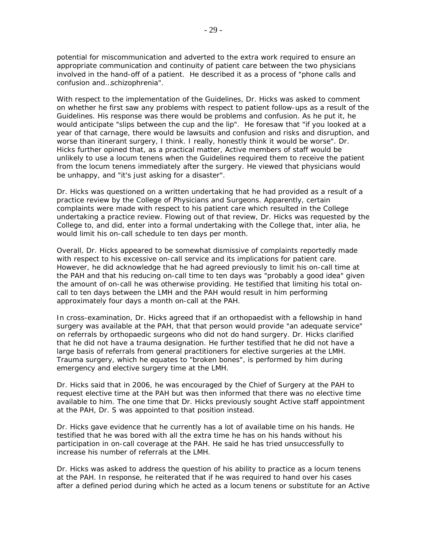potential for miscommunication and adverted to the extra work required to ensure an appropriate communication and continuity of patient care between the two physicians involved in the hand-off of a patient. He described it as a process of "phone calls and confusion and…schizophrenia".

With respect to the implementation of the Guidelines, Dr. Hicks was asked to comment on whether he first saw any problems with respect to patient follow-ups as a result of the Guidelines. His response was there would be problems and confusion. As he put it, he would anticipate "slips between the cup and the lip". He foresaw that "if you looked at a year of that carnage, there would be lawsuits and confusion and risks and disruption, and worse than itinerant surgery, I think. I really, honestly think it would be worse". Dr. Hicks further opined that, as a practical matter, Active members of staff would be unlikely to use a *locum tenens* when the Guidelines required them to receive the patient from the *locum tenens* immediately after the surgery. He viewed that physicians would be unhappy, and "it's just asking for a disaster".

Dr. Hicks was questioned on a written undertaking that he had provided as a result of a practice review by the College of Physicians and Surgeons. Apparently, certain complaints were made with respect to his patient care which resulted in the College undertaking a practice review. Flowing out of that review, Dr. Hicks was requested by the College to, and did, enter into a formal undertaking with the College that, *inter alia*, he would limit his on-call schedule to ten days per month.

Overall, Dr. Hicks appeared to be somewhat dismissive of complaints reportedly made with respect to his excessive on-call service and its implications for patient care. However, he did acknowledge that he had agreed previously to limit his on-call time at the PAH and that his reducing on-call time to ten days was "probably a good idea" given the amount of on-call he was otherwise providing. He testified that limiting his total oncall to ten days between the LMH and the PAH would result in him performing approximately four days a month on-call at the PAH.

In cross-examination, Dr. Hicks agreed that if an orthopaedist with a fellowship in hand surgery was available at the PAH, that that person would provide "an adequate service" on referrals by orthopaedic surgeons who did not do hand surgery. Dr. Hicks clarified that he did not have a trauma designation. He further testified that he did not have a large basis of referrals from general practitioners for elective surgeries at the LMH. Trauma surgery, which he equates to "broken bones", is performed by him during emergency and elective surgery time at the LMH.

Dr. Hicks said that in 2006, he was encouraged by the Chief of Surgery at the PAH to request elective time at the PAH but was then informed that there was no elective time available to him. The one time that Dr. Hicks previously sought Active staff appointment at the PAH, Dr. S was appointed to that position instead.

Dr. Hicks gave evidence that he currently has a lot of available time on his hands. He testified that he was bored with all the extra time he has on his hands without his participation in on-call coverage at the PAH. He said he has tried unsuccessfully to increase his number of referrals at the LMH.

Dr. Hicks was asked to address the question of his ability to practice as a *locum tenens* at the PAH. In response, he reiterated that if he was required to hand over his cases after a defined period during which he acted as a *locum tenens* or substitute for an Active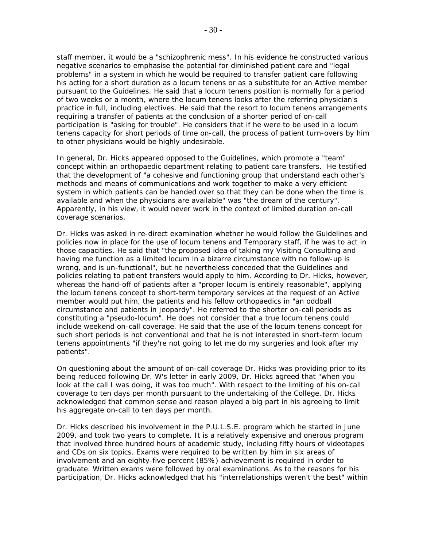staff member, it would be a "schizophrenic mess". In his evidence he constructed various negative scenarios to emphasise the potential for diminished patient care and "legal problems" in a system in which he would be required to transfer patient care following his acting for a short duration as a *locum tenens* or as a substitute for an Active member pursuant to the Guidelines. He said that a *locum tenens* position is normally for a period of two weeks or a month, where the *locum tenens* looks after the referring physician's practice in full, including electives. He said that the resort to *locum tenens* arrangements requiring a transfer of patients at the conclusion of a shorter period of on-call participation is "asking for trouble". He considers that if he were to be used in a *locum tenens* capacity for short periods of time on-call, the process of patient turn-overs by him to other physicians would be highly undesirable.

In general, Dr. Hicks appeared opposed to the Guidelines, which promote a "team" concept within an orthopaedic department relating to patient care transfers. He testified that the development of "a cohesive and functioning group that understand each other's methods and means of communications and work together to make a very efficient system in which patients can be handed over so that they can be done when the time is available and when the physicians are available" was "the dream of the century". Apparently, in his view, it would never work in the context of limited duration on-call coverage scenarios.

Dr. Hicks was asked in re-direct examination whether he would follow the Guidelines and policies now in place for the use of *locum tenens* and Temporary staff, if he was to act in those capacities. He said that "the proposed idea of taking my Visiting Consulting and having me function as a limited locum in a bizarre circumstance with no follow-up is wrong, and is un-functional", but he nevertheless conceded that the Guidelines and policies relating to patient transfers would apply to him. According to Dr. Hicks, however, whereas the hand-off of patients after a "proper locum is entirely reasonable", applying the *locum tenens* concept to short-term temporary services at the request of an Active member would put him, the patients and his fellow orthopaedics in "an oddball circumstance and patients in jeopardy". He referred to the shorter on-call periods as constituting a "pseudo-*locum*". He does not consider that a true *locum tenens* could include weekend on-call coverage. He said that the use of the *locum tenens* concept for such short periods is not conventional and that he is not interested in short-term *locum tenens* appointments "if they're not going to let me do my surgeries and look after my patients".

On questioning about the amount of on-call coverage Dr. Hicks was providing prior to its being reduced following Dr. W's letter in early 2009, Dr. Hicks agreed that "when you look at the call I was doing, it was too much". With respect to the limiting of his on-call coverage to ten days per month pursuant to the undertaking of the College, Dr. Hicks acknowledged that common sense and reason played a big part in his agreeing to limit his aggregate on-call to ten days per month.

Dr. Hicks described his involvement in the P.U.L.S.E. program which he started in June 2009, and took two years to complete. It is a relatively expensive and onerous program that involved three hundred hours of academic study, including fifty hours of videotapes and CDs on six topics. Exams were required to be written by him in six areas of involvement and an eighty-five percent (85%) achievement is required in order to graduate. Written exams were followed by oral examinations. As to the reasons for his participation, Dr. Hicks acknowledged that his "interrelationships weren't the best" within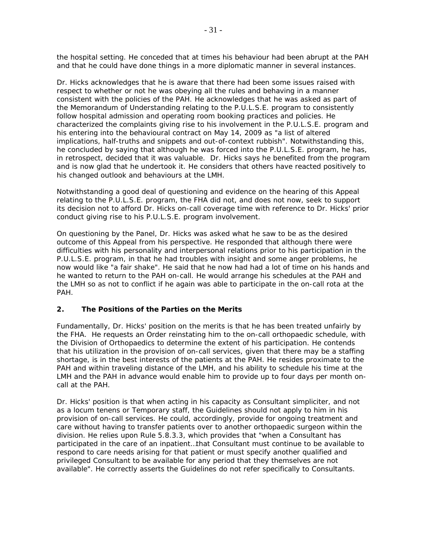the hospital setting. He conceded that at times his behaviour had been abrupt at the PAH and that he could have done things in a more diplomatic manner in several instances.

Dr. Hicks acknowledges that he is aware that there had been some issues raised with respect to whether or not he was obeying all the rules and behaving in a manner consistent with the policies of the PAH. He acknowledges that he was asked as part of the Memorandum of Understanding relating to the P.U.L.S.E. program to consistently follow hospital admission and operating room booking practices and policies. He characterized the complaints giving rise to his involvement in the P.U.L.S.E. program and his entering into the behavioural contract on May 14, 2009 as "a list of altered implications, half-truths and snippets and out-of-context rubbish". Notwithstanding this, he concluded by saying that although he was forced into the P.U.L.S.E. program, he has, in retrospect, decided that it was valuable. Dr. Hicks says he benefited from the program and is now glad that he undertook it. He considers that others have reacted positively to his changed outlook and behaviours at the LMH.

Notwithstanding a good deal of questioning and evidence on the hearing of this Appeal relating to the P.U.L.S.E. program, the FHA did not, and does not now, seek to support its decision not to afford Dr. Hicks on-call coverage time with reference to Dr. Hicks' prior conduct giving rise to his P.U.L.S.E. program involvement.

On questioning by the Panel, Dr. Hicks was asked what he saw to be as the desired outcome of this Appeal from his perspective. He responded that although there were difficulties with his personality and interpersonal relations prior to his participation in the P.U.L.S.E. program, in that he had troubles with insight and some anger problems, he now would like "a fair shake". He said that he now had had a lot of time on his hands and he wanted to return to the PAH on-call. He would arrange his schedules at the PAH and the LMH so as not to conflict if he again was able to participate in the on-call rota at the PAH.

## **2. The Positions of the Parties on the Merits**

Fundamentally, Dr. Hicks' position on the merits is that he has been treated unfairly by the FHA. He requests an Order reinstating him to the on-call orthopaedic schedule, with the Division of Orthopaedics to determine the extent of his participation. He contends that his utilization in the provision of on-call services, given that there may be a staffing shortage, is in the best interests of the patients at the PAH. He resides proximate to the PAH and within traveling distance of the LMH, and his ability to schedule his time at the LMH and the PAH in advance would enable him to provide up to four days per month oncall at the PAH.

Dr. Hicks' position is that when acting in his capacity as Consultant s*impliciter*, and not as a *locum tenens* or Temporary staff, the Guidelines should not apply to him in his provision of on-call services. He could, accordingly, provide for ongoing treatment and care without having to transfer patients over to another orthopaedic surgeon within the division. He relies upon *Rule* 5.8.3.3, which provides that "when a Consultant has participated in the care of an inpatient…that Consultant must continue to be available to respond to care needs arising for that patient or must specify another qualified and privileged Consultant to be available for any period that they themselves are not available". He correctly asserts the Guidelines do not refer specifically to Consultants.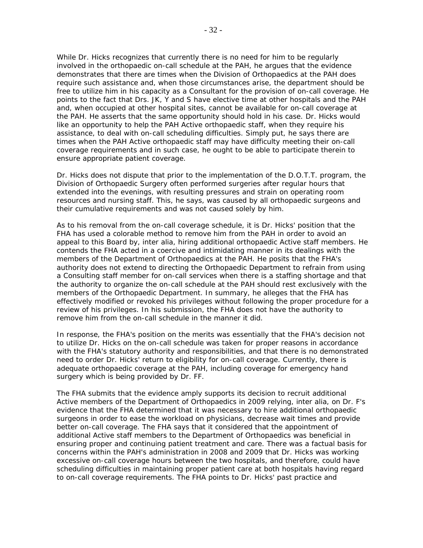While Dr. Hicks recognizes that currently there is no need for him to be regularly involved in the orthopaedic on-call schedule at the PAH, he argues that the evidence demonstrates that there are times when the Division of Orthopaedics at the PAH does require such assistance and, when those circumstances arise, the department should be free to utilize him in his capacity as a Consultant for the provision of on-call coverage. He points to the fact that Drs. JK, Y and S have elective time at other hospitals and the PAH and, when occupied at other hospital sites, cannot be available for on-call coverage at the PAH. He asserts that the same opportunity should hold in his case. Dr. Hicks would like an opportunity to help the PAH Active orthopaedic staff, when they require his assistance, to deal with on-call scheduling difficulties. Simply put, he says there are times when the PAH Active orthopaedic staff may have difficulty meeting their on-call coverage requirements and in such case, he ought to be able to participate therein to ensure appropriate patient coverage.

Dr. Hicks does not dispute that prior to the implementation of the D.O.T.T. program, the Division of Orthopaedic Surgery often performed surgeries after regular hours that extended into the evenings, with resulting pressures and strain on operating room resources and nursing staff. This, he says, was caused by all orthopaedic surgeons and their cumulative requirements and was not caused solely by him.

As to his removal from the on-call coverage schedule, it is Dr. Hicks' position that the FHA has used a colorable method to remove him from the PAH in order to avoid an appeal to this Board by, *inter alia*, hiring additional orthopaedic Active staff members. He contends the FHA acted in a coercive and intimidating manner in its dealings with the members of the Department of Orthopaedics at the PAH. He posits that the FHA's authority does not extend to directing the Orthopaedic Department to refrain from using a Consulting staff member for on-call services when there is a staffing shortage and that the authority to organize the on-call schedule at the PAH should rest exclusively with the members of the Orthopaedic Department. In summary, he alleges that the FHA has effectively modified or revoked his privileges without following the proper procedure for a review of his privileges. In his submission, the FHA does not have the authority to remove him from the on-call schedule in the manner it did.

In response, the FHA's position on the merits was essentially that the FHA's decision not to utilize Dr. Hicks on the on-call schedule was taken for proper reasons in accordance with the FHA's statutory authority and responsibilities, and that there is no demonstrated need to order Dr. Hicks' return to eligibility for on-call coverage. Currently, there is adequate orthopaedic coverage at the PAH, including coverage for emergency hand surgery which is being provided by Dr. FF.

The FHA submits that the evidence amply supports its decision to recruit additional Active members of the Department of Orthopaedics in 2009 relying, *inter alia*, on Dr. F's evidence that the FHA determined that it was necessary to hire additional orthopaedic surgeons in order to ease the workload on physicians, decrease wait times and provide better on-call coverage. The FHA says that it considered that the appointment of additional Active staff members to the Department of Orthopaedics was beneficial in ensuring proper and continuing patient treatment and care. There was a factual basis for concerns within the PAH's administration in 2008 and 2009 that Dr. Hicks was working excessive on-call coverage hours between the two hospitals, and therefore, could have scheduling difficulties in maintaining proper patient care at both hospitals having regard to on-call coverage requirements. The FHA points to Dr. Hicks' past practice and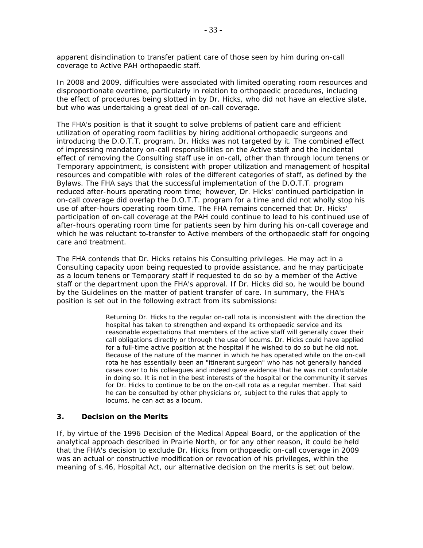apparent disinclination to transfer patient care of those seen by him during on-call coverage to Active PAH orthopaedic staff.

In 2008 and 2009, difficulties were associated with limited operating room resources and disproportionate overtime, particularly in relation to orthopaedic procedures, including the effect of procedures being slotted in by Dr. Hicks, who did not have an elective slate, but who was undertaking a great deal of on-call coverage.

The FHA's position is that it sought to solve problems of patient care and efficient utilization of operating room facilities by hiring additional orthopaedic surgeons and introducing the D.O.T.T. program. Dr. Hicks was not targeted by it. The combined effect of impressing mandatory on-call responsibilities on the Active staff and the incidental effect of removing the Consulting staff use in on-call, other than through *locum tenens* or Temporary appointment, is consistent with proper utilization and management of hospital resources and compatible with roles of the different categories of staff, as defined by the *Bylaws*. The FHA says that the successful implementation of the D.O.T.T. program reduced after-hours operating room time; however, Dr. Hicks' continued participation in on-call coverage did overlap the D.O.T.T. program for a time and did not wholly stop his use of after-hours operating room time. The FHA remains concerned that Dr. Hicks' participation of on-call coverage at the PAH could continue to lead to his continued use of after-hours operating room time for patients seen by him during his on-call coverage and which he was reluctant to-transfer to Active members of the orthopaedic staff for ongoing care and treatment.

The FHA contends that Dr. Hicks retains his Consulting privileges. He may act in a Consulting capacity upon being requested to provide assistance, and he may participate as a *locum tenens* or Temporary staff if requested to do so by a member of the Active staff or the department upon the FHA's approval. If Dr. Hicks did so, he would be bound by the Guidelines on the matter of patient transfer of care. In summary, the FHA's position is set out in the following extract from its submissions:

> Returning Dr. Hicks to the regular on-call rota is inconsistent with the direction the hospital has taken to strengthen and expand its orthopaedic service and its reasonable expectations that members of the active staff will generally cover their call obligations directly or through the use of *locums*. Dr. Hicks could have applied for a full-time active position at the hospital if he wished to do so but he did not. Because of the nature of the manner in which he has operated while on the on-call rota he has essentially been an "itinerant surgeon" who has not generally handed cases over to his colleagues and indeed gave evidence that he was not comfortable in doing so. It is not in the best interests of the hospital or the community it serves for Dr. Hicks to continue to be on the on-call rota as a regular member. That said he can be consulted by other physicians or, subject to the rules that apply to *locums*, he can act as a *locum*.

#### **3. Decision on the Merits**

If, by virtue of the 1996 Decision of the Medical Appeal Board, or the application of the analytical approach described in *Prairie North,* or for any other reason, it could be held that the FHA's decision to exclude Dr. Hicks from orthopaedic on-call coverage in 2009 was an actual or constructive modification or revocation of his privileges, within the meaning of s.46, *Hospital Act*, our alternative decision on the merits is set out below.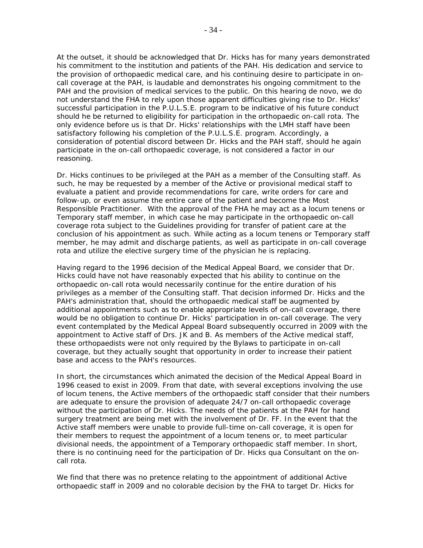At the outset, it should be acknowledged that Dr. Hicks has for many years demonstrated his commitment to the institution and patients of the PAH. His dedication and service to the provision of orthopaedic medical care, and his continuing desire to participate in oncall coverage at the PAH, is laudable and demonstrates his ongoing commitment to the PAH and the provision of medical services to the public. On this hearing *de novo*, we do not understand the FHA to rely upon those apparent difficulties giving rise to Dr. Hicks' successful participation in the P.U.L.S.E. program to be indicative of his future conduct should he be returned to eligibility for participation in the orthopaedic on-call rota. The only evidence before us is that Dr. Hicks' relationships with the LMH staff have been satisfactory following his completion of the P.U.L.S.E. program. Accordingly, a consideration of potential discord between Dr. Hicks and the PAH staff, should he again participate in the on-call orthopaedic coverage, is not considered a factor in our reasoning.

Dr. Hicks continues to be privileged at the PAH as a member of the Consulting staff. As such, he may be requested by a member of the Active or provisional medical staff to evaluate a patient and provide recommendations for care, write orders for care and follow-up, or even assume the entire care of the patient and become the Most Responsible Practitioner. With the approval of the FHA he may act as a *locum tenens* or Temporary staff member, in which case he may participate in the orthopaedic on-call coverage rota subject to the Guidelines providing for transfer of patient care at the conclusion of his appointment as such. While acting as a *locum tenens* or Temporary staff member, he may admit and discharge patients, as well as participate in on-call coverage rota and utilize the elective surgery time of the physician he is replacing.

Having regard to the 1996 decision of the Medical Appeal Board, we consider that Dr. Hicks could have not have reasonably expected that his ability to continue on the orthopaedic on-call rota would necessarily continue for the entire duration of his privileges as a member of the Consulting staff. That decision informed Dr. Hicks and the PAH's administration that, should the orthopaedic medical staff be augmented by additional appointments such as to enable appropriate levels of on-call coverage, there would be no obligation to continue Dr. Hicks' participation in on-call coverage. The very event contemplated by the Medical Appeal Board subsequently occurred in 2009 with the appointment to Active staff of Drs. JK and B. As members of the Active medical staff, these orthopaedists were not only required by the *Bylaws* to participate in on-call coverage, but they actually sought that opportunity in order to increase their patient base and access to the PAH's resources.

In short, the circumstances which animated the decision of the Medical Appeal Board in 1996 ceased to exist in 2009. From that date, with several exceptions involving the use of *locum tenens*, the Active members of the orthopaedic staff consider that their numbers are adequate to ensure the provision of adequate 24/7 on-call orthopaedic coverage without the participation of Dr. Hicks. The needs of the patients at the PAH for hand surgery treatment are being met with the involvement of Dr. FF. In the event that the Active staff members were unable to provide full-time on-call coverage, it is open for their members to request the appointment of a *locum tenens* or, to meet particular divisional needs, the appointment of a Temporary orthopaedic staff member. In short, there is no continuing need for the participation of Dr. Hicks *qua* Consultant on the oncall rota.

We find that there was no pretence relating to the appointment of additional Active orthopaedic staff in 2009 and no colorable decision by the FHA to target Dr. Hicks for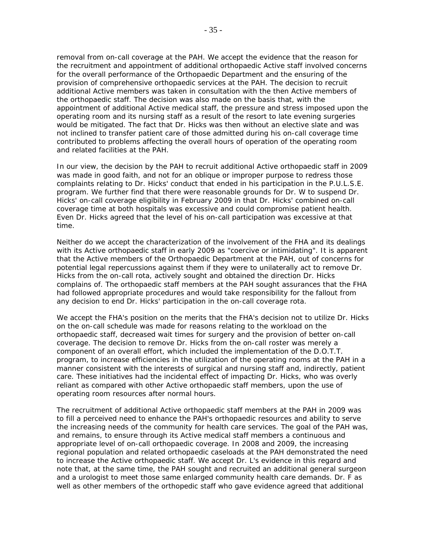removal from on-call coverage at the PAH. We accept the evidence that the reason for the recruitment and appointment of additional orthopaedic Active staff involved concerns for the overall performance of the Orthopaedic Department and the ensuring of the provision of comprehensive orthopaedic services at the PAH. The decision to recruit additional Active members was taken in consultation with the then Active members of the orthopaedic staff. The decision was also made on the basis that, with the appointment of additional Active medical staff, the pressure and stress imposed upon the operating room and its nursing staff as a result of the resort to late evening surgeries would be mitigated. The fact that Dr. Hicks was then without an elective slate and was not inclined to transfer patient care of those admitted during his on-call coverage time contributed to problems affecting the overall hours of operation of the operating room and related facilities at the PAH.

In our view, the decision by the PAH to recruit additional Active orthopaedic staff in 2009 was made in good faith, and not for an oblique or improper purpose to redress those complaints relating to Dr. Hicks' conduct that ended in his participation in the P.U.L.S.E. program. We further find that there were reasonable grounds for Dr. W to suspend Dr. Hicks' on-call coverage eligibility in February 2009 in that Dr. Hicks' combined on-call coverage time at both hospitals was excessive and could compromise patient health. Even Dr. Hicks agreed that the level of his on-call participation was excessive at that time.

Neither do we accept the characterization of the involvement of the FHA and its dealings with its Active orthopaedic staff in early 2009 as "coercive or intimidating". It is apparent that the Active members of the Orthopaedic Department at the PAH, out of concerns for potential legal repercussions against them if they were to unilaterally act to remove Dr. Hicks from the on-call rota, actively sought and obtained the direction Dr. Hicks complains of. The orthopaedic staff members at the PAH sought assurances that the FHA had followed appropriate procedures and would take responsibility for the fallout from any decision to end Dr. Hicks' participation in the on-call coverage rota.

We accept the FHA's position on the merits that the FHA's decision not to utilize Dr. Hicks on the on-call schedule was made for reasons relating to the workload on the orthopaedic staff, decreased wait times for surgery and the provision of better on-call coverage. The decision to remove Dr. Hicks from the on-call roster was merely a component of an overall effort, which included the implementation of the D.O.T.T. program, to increase efficiencies in the utilization of the operating rooms at the PAH in a manner consistent with the interests of surgical and nursing staff and, indirectly, patient care. These initiatives had the incidental effect of impacting Dr. Hicks, who was overly reliant as compared with other Active orthopaedic staff members, upon the use of operating room resources after normal hours.

The recruitment of additional Active orthopaedic staff members at the PAH in 2009 was to fill a perceived need to enhance the PAH's orthopaedic resources and ability to serve the increasing needs of the community for health care services. The goal of the PAH was, and remains, to ensure through its Active medical staff members a continuous and appropriate level of on-call orthopaedic coverage. In 2008 and 2009, the increasing regional population and related orthopaedic caseloads at the PAH demonstrated the need to increase the Active orthopaedic staff. We accept Dr. L's evidence in this regard and note that, at the same time, the PAH sought and recruited an additional general surgeon and a urologist to meet those same enlarged community health care demands. Dr. F as well as other members of the orthopedic staff who gave evidence agreed that additional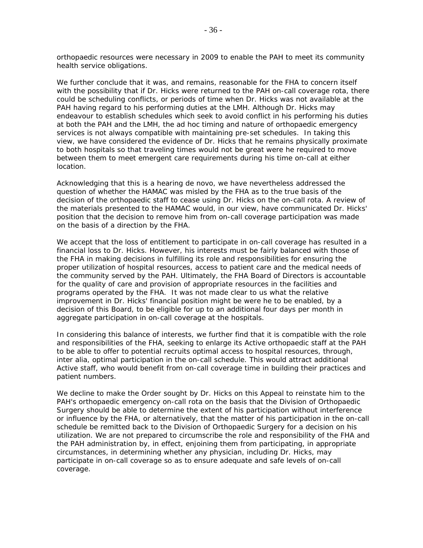orthopaedic resources were necessary in 2009 to enable the PAH to meet its community health service obligations.

We further conclude that it was, and remains, reasonable for the FHA to concern itself with the possibility that if Dr. Hicks were returned to the PAH on-call coverage rota, there could be scheduling conflicts, or periods of time when Dr. Hicks was not available at the PAH having regard to his performing duties at the LMH. Although Dr. Hicks may endeavour to establish schedules which seek to avoid conflict in his performing his duties at both the PAH and the LMH, the *ad hoc* timing and nature of orthopaedic emergency services is not always compatible with maintaining pre-set schedules. In taking this view, we have considered the evidence of Dr. Hicks that he remains physically proximate to both hospitals so that traveling times would not be great were he required to move between them to meet emergent care requirements during his time on-call at either location.

Acknowledging that this is a hearing *de novo*, we have nevertheless addressed the question of whether the HAMAC was misled by the FHA as to the true basis of the decision of the orthopaedic staff to cease using Dr. Hicks on the on-call rota. A review of the materials presented to the HAMAC would, in our view, have communicated Dr. Hicks' position that the decision to remove him from on-call coverage participation was made on the basis of a direction by the FHA.

We accept that the loss of entitlement to participate in on-call coverage has resulted in a financial loss to Dr. Hicks. However, his interests must be fairly balanced with those of the FHA in making decisions in fulfilling its role and responsibilities for ensuring the proper utilization of hospital resources, access to patient care and the medical needs of the community served by the PAH. Ultimately, the FHA Board of Directors is accountable for the quality of care and provision of appropriate resources in the facilities and programs operated by the FHA. It was not made clear to us what the relative improvement in Dr. Hicks' financial position might be were he to be enabled, by a decision of this Board, to be eligible for up to an additional four days per month in aggregate participation in on-call coverage at the hospitals.

In considering this balance of interests, we further find that it is compatible with the role and responsibilities of the FHA, seeking to enlarge its Active orthopaedic staff at the PAH to be able to offer to potential recruits optimal access to hospital resources, through, *inter alia,* optimal participation in the on-call schedule. This would attract additional Active staff, who would benefit from on-call coverage time in building their practices and patient numbers.

We decline to make the Order sought by Dr. Hicks on this Appeal to reinstate him to the PAH's orthopaedic emergency on-call rota on the basis that the Division of Orthopaedic Surgery should be able to determine the extent of his participation without interference or influence by the FHA, or alternatively, that the matter of his participation in the on-call schedule be remitted back to the Division of Orthopaedic Surgery for a decision on his utilization. We are not prepared to circumscribe the role and responsibility of the FHA and the PAH administration by, in effect, enjoining them from participating, in appropriate circumstances, in determining whether any physician, including Dr. Hicks, may participate in on-call coverage so as to ensure adequate and safe levels of on-call coverage.